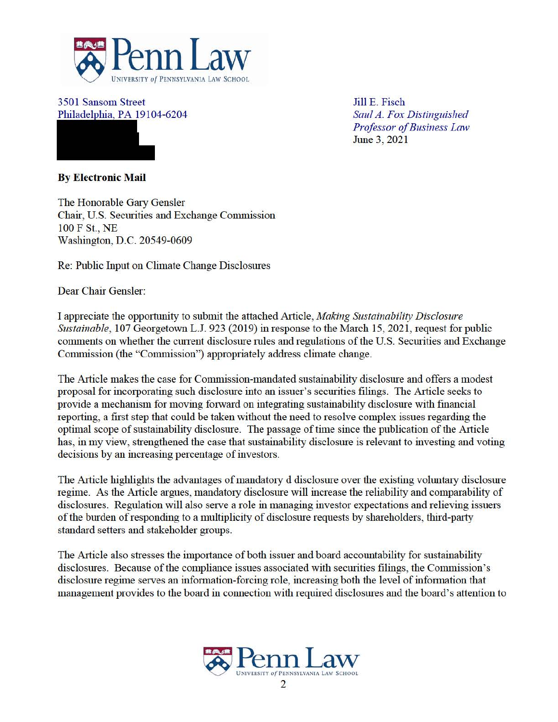

3501 Sansom Street Philadelphia, PA 19104-6204

Jill E. Fisch *Saul A. Fox Distinguished Professor of Business Law*  June 3, 2021

**By Electronic Mail** 

The Honorable Gary Gensler Chair, U.S. Securities and Exchange Commission 100 F St., NE Washington, D.C. 20549-0609

Re: Public Input on Climate Change Disclosures

Dear Chair Gensler:

I appreciate the opportunity to submit the attached Article, *Making Sustainability Disclosure Sustainable*, 107 Georgetown L.J. 923 (2019) in response to the March 15, 2021, request for public comments on whether the current disclosure rules and regulations of the U.S. Securities and Exchange Commission (the "Commission") appropriately address climate change.

The Article makes the case for Commission-mandated sustainability disclosure and offers a modest proposal for incorporating such disclosure into an issuer's securities filings. The Article seeks to provide a mechanism for moving forward on integrating sustainability disclosure with financial reporting, a first step that could be taken without the need to resolve complex issues regarding the optimal scope of sustainability disclosure. The passage of time since the publication of the Article has, in my view, strengthened the case that sustainability disclosure is relevant to investing and voting decisions by an increasing percentage of investors.

The Article highlights the advantages of mandatory d disclosure over the existing voluntary disclosure regime. As the Article argues, mandatory disclosure will increase the reliability and comparability of disclosures. Regulation will also serve a role in managing investor expectations and relieving issuers of the burden of responding to a multiplicity of disclosure requests by shareholders, third-party standard setters and stakeholder groups.

The Article also stresses the importance of both issuer and board accountability for sustainability disclosures. Because of the compliance issues associated with securities filings, the Commission's disclosure regime serves an information-forcing role, increasing both the level of information that management provides to the board in connection with required disclosures and the board's attention to

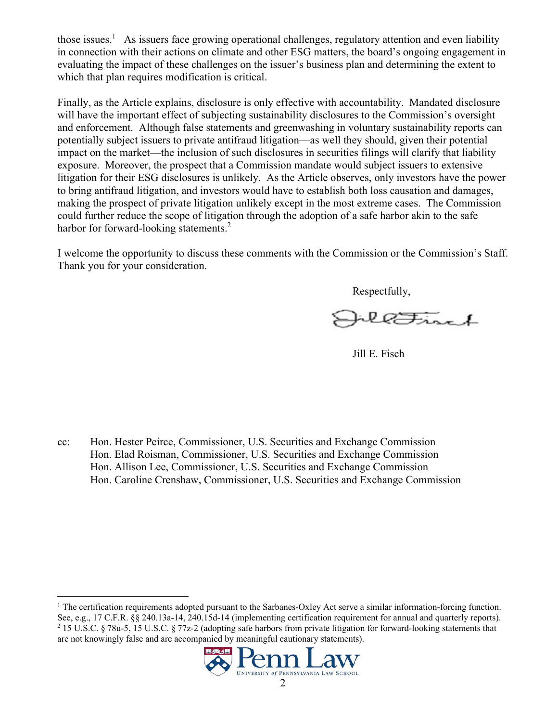those issues.<sup>1</sup> As issuers face growing operational challenges, regulatory attention and even liability in connection with their actions on climate and other ESG matters, the board's ongoing engagement in evaluating the impact of these challenges on the issuer's business plan and determining the extent to which that plan requires modification is critical.

Finally, as the Article explains, disclosure is only effective with accountability. Mandated disclosure will have the important effect of subjecting sustainability disclosures to the Commission's oversight and enforcement. Although false statements and greenwashing in voluntary sustainability reports can potentially subject issuers to private antifraud litigation—as well they should, given their potential impact on the market—the inclusion of such disclosures in securities filings will clarify that liability exposure. Moreover, the prospect that a Commission mandate would subject issuers to extensive litigation for their ESG disclosures is unlikely. As the Article observes, only investors have the power to bring antifraud litigation, and investors would have to establish both loss causation and damages, making the prospect of private litigation unlikely except in the most extreme cases. The Commission could further reduce the scope of litigation through the adoption of a safe harbor akin to the safe harbor for forward-looking statements.<sup>2</sup>

I welcome the opportunity to discuss these comments with the Commission or the Commission's Staff. Thank you for your consideration.

Respectfully,

llFirst

Jill E. Fisch

cc: Hon. Hester Peirce, Commissioner, U.S. Securities and Exchange Commission Hon. Elad Roisman, Commissioner, U.S. Securities and Exchange Commission Hon. Allison Lee, Commissioner, U.S. Securities and Exchange Commission Hon. Caroline Crenshaw, Commissioner, U.S. Securities and Exchange Commission

<sup>&</sup>lt;sup>1</sup> The certification requirements adopted pursuant to the Sarbanes-Oxley Act serve a similar information-forcing function. See, e.g., 17 C.F.R. §§ 240.13a-14, 240.15d-14 (implementing certification requirement for annual and quarterly reports). 2 15 U.S.C. § 78u-5, 15 U.S.C. § 77z-2 (adopting safe harbors from private litigation for forward-looking statements that are not knowingly false and are accompanied by meaningful cautionary statements).

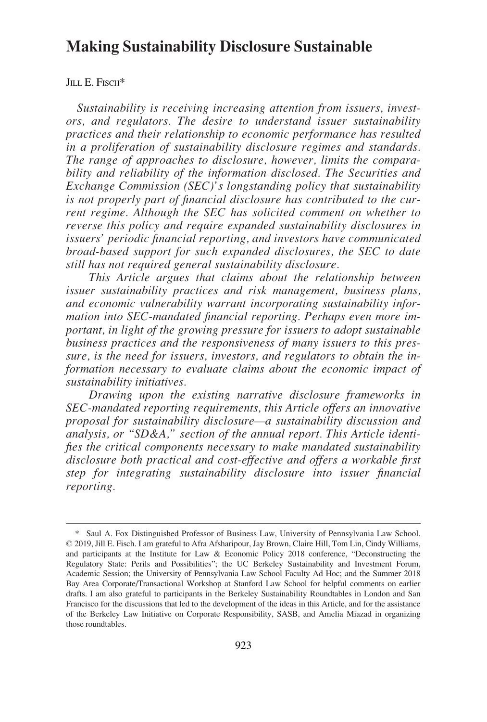# **Making Sustainability Disclosure Sustainable**

# JILL E. FISCH<sup>\*</sup>

*Sustainability is receiving increasing attention from issuers, investors, and regulators. The desire to understand issuer sustainability practices and their relationship to economic performance has resulted in a proliferation of sustainability disclosure regimes and standards. The range of approaches to disclosure, however, limits the comparability and reliability of the information disclosed. The Securities and Exchange Commission (SEC)'s longstanding policy that sustainability is not properly part of financial disclosure has contributed to the current regime. Although the SEC has solicited comment on whether to reverse this policy and require expanded sustainability disclosures in issuers' periodic financial reporting, and investors have communicated broad-based support for such expanded disclosures, the SEC to date still has not required general sustainability disclosure.* 

*This Article argues that claims about the relationship between issuer sustainability practices and risk management, business plans, and economic vulnerability warrant incorporating sustainability information into SEC-mandated financial reporting. Perhaps even more important, in light of the growing pressure for issuers to adopt sustainable business practices and the responsiveness of many issuers to this pressure, is the need for issuers, investors, and regulators to obtain the information necessary to evaluate claims about the economic impact of sustainability initiatives.* 

*Drawing upon the existing narrative disclosure frameworks in SEC-mandated reporting requirements, this Article offers an innovative proposal for sustainability disclosure—a sustainability discussion and analysis, or "SD&A," section of the annual report. This Article identifies the critical components necessary to make mandated sustainability disclosure both practical and cost-effective and offers a workable first step for integrating sustainability disclosure into issuer financial reporting.* 

<sup>\*</sup> Saul A. Fox Distinguished Professor of Business Law, University of Pennsylvania Law School. © 2019, Jill E. Fisch. I am grateful to Afra Afsharipour, Jay Brown, Claire Hill, Tom Lin, Cindy Williams, and participants at the Institute for Law & Economic Policy 2018 conference, "Deconstructing the Regulatory State: Perils and Possibilities"; the UC Berkeley Sustainability and Investment Forum, Academic Session; the University of Pennsylvania Law School Faculty Ad Hoc; and the Summer 2018 Bay Area Corporate/Transactional Workshop at Stanford Law School for helpful comments on earlier drafts. I am also grateful to participants in the Berkeley Sustainability Roundtables in London and San Francisco for the discussions that led to the development of the ideas in this Article, and for the assistance of the Berkeley Law Initiative on Corporate Responsibility, SASB, and Amelia Miazad in organizing those roundtables.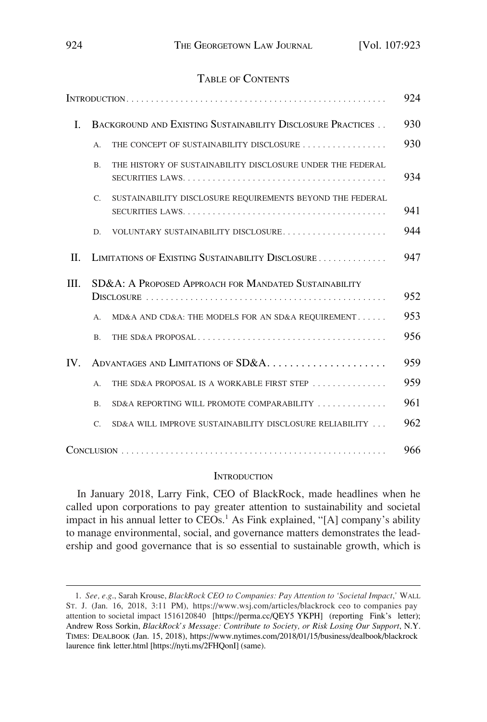# TABLE OF CONTENTS

|          |                                                             |                                                            | 924 |
|----------|-------------------------------------------------------------|------------------------------------------------------------|-----|
| L        | BACKGROUND AND EXISTING SUSTAINABILITY DISCLOSURE PRACTICES |                                                            | 930 |
|          | A.                                                          | THE CONCEPT OF SUSTAINABILITY DISCLOSURE                   | 930 |
|          | B <sub>r</sub>                                              | THE HISTORY OF SUSTAINABILITY DISCLOSURE UNDER THE FEDERAL | 934 |
|          | C.                                                          | SUSTAINABILITY DISCLOSURE REQUIREMENTS BEYOND THE FEDERAL  | 941 |
|          | D.                                                          | VOLUNTARY SUSTAINABILITY DISCLOSURE                        | 944 |
| $\Pi$ .  |                                                             | LIMITATIONS OF EXISTING SUSTAINABILITY DISCLOSURE          | 947 |
| III.     | SD&A: A PROPOSED APPROACH FOR MANDATED SUSTAINABILITY       |                                                            |     |
|          | А.                                                          | MD&A AND CD&A: THE MODELS FOR AN SD&A REQUIREMENT          | 953 |
|          | <b>B.</b>                                                   |                                                            | 956 |
| $IV_{-}$ | ADVANTAGES AND LIMITATIONS OF SD&A                          |                                                            | 959 |
|          | А.                                                          | THE SD&A PROPOSAL IS A WORKABLE FIRST STEP                 | 959 |
|          | B <sub>1</sub>                                              | SD&A REPORTING WILL PROMOTE COMPARABILITY                  | 961 |
|          | $\mathcal{C}$ .                                             | SD&A WILL IMPROVE SUSTAINABILITY DISCLOSURE RELIABILITY    | 962 |
|          |                                                             |                                                            | 966 |

#### **INTRODUCTION**

In January 2018, Larry Fink, CEO of BlackRock, made headlines when he called upon corporations to pay greater attention to sustainability and societal impact in his annual letter to CEOs.<sup>1</sup> As Fink explained, "[A] company's ability to manage environmental, social, and governance matters demonstrates the leadership and good governance that is so essential to sustainable growth, which is

*See, e.g*., Sarah Krouse, *BlackRock CEO to Companies: Pay Attention to 'Societal Impact*,*'* WALL 1. ST. J. (Jan. 16, 2018, 3:11 PM), https://www.wsj.com/articles/blackrock ceo to companies pay attention to societal impact 1516120840 [https://perma.cc/QEY5 YKPH] (reporting Fink's letter); Andrew Ross Sorkin, *BlackRock's Message: Contribute to Society, or Risk Losing Our Support*, N.Y. TIMES: DEALBOOK (Jan. 15, 2018), https://www.nytimes.com/2018/01/15/business/dealbook/blackrock laurence fink letter.html [https://nyti.ms/2FHQonI] (same).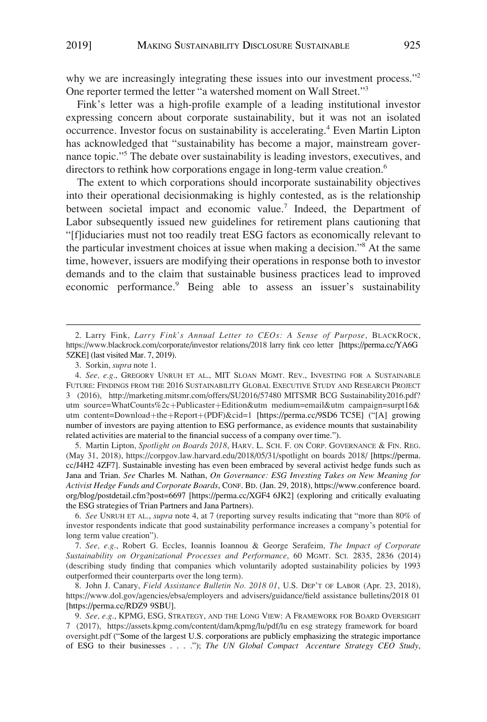why we are increasingly integrating these issues into our investment process."<sup>2</sup> One reporter termed the letter "a watershed moment on Wall Street."3

Fink's letter was a high-profile example of a leading institutional investor expressing concern about corporate sustainability, but it was not an isolated occurrence. Investor focus on sustainability is accelerating.<sup>4</sup> Even Martin Lipton has acknowledged that "sustainability has become a major, mainstream governance topic."<sup>5</sup> The debate over sustainability is leading investors, executives, and directors to rethink how corporations engage in long-term value creation.<sup>6</sup>

The extent to which corporations should incorporate sustainability objectives into their operational decisionmaking is highly contested, as is the relationship between societal impact and economic value.<sup>7</sup> Indeed, the Department of Labor subsequently issued new guidelines for retirement plans cautioning that "[f]iduciaries must not too readily treat ESG factors as economically relevant to the particular investment choices at issue when making a decision."8 At the same time, however, issuers are modifying their operations in response both to investor demands and to the claim that sustainable business practices lead to improved economic performance.<sup>9</sup> Being able to assess an issuer's sustainability

5. Martin Lipton, Spotlight on Boards 2018, HARV. L. SCH. F. ON CORP. GOVERNANCE & FIN. REG. (May 31, 2018), https://corpgov.law.harvard.edu/2018/05/31/spotlight on boards 2018/ [https://perma. cc/J4H2 4ZF7]. Sustainable investing has even been embraced by several activist hedge funds such as Jana and Trian. *See* Charles M. Nathan, *On Governance: ESG Investing Takes on New Meaning for Activist Hedge Funds and Corporate Boards*, CONF. BD. (Jan. 29, 2018), https://www.conference board. org/blog/postdetail.cfm?post=6697 [https://perma.cc/XGF4 6JK2] (exploring and critically evaluating the ESG strategies of Trian Partners and Jana Partners).

6. *See* UNRUH ET AL., *supra* note 4, at 7 (reporting survey results indicating that "more than 80% of investor respondents indicate that good sustainability performance increases a company's potential for long term value creation").

7. *See, e.g*., Robert G. Eccles, Ioannis Ioannou & George Serafeim, *The Impact of Corporate Sustainability on Organizational Processes and Performance*, 60 MGMT. SCI. 2835, 2836 (2014) (describing study finding that companies which voluntarily adopted sustainability policies by 1993 outperformed their counterparts over the long term).

8. John J. Canary, *Field Assistance Bulletin No. 2018 01*, U.S. DEP'T OF LABOR (Apr. 23, 2018), https://www.dol.gov/agencies/ebsa/employers and advisers/guidance/field assistance bulletins/2018 01 [https://perma.cc/RDZ9 9SBU].

*See, e.g*., KPMG, ESG, STRATEGY, AND THE LONG VIEW: A FRAMEWORK FOR BOARD OVERSIGHT 9. 7 (2017), https://assets.kpmg.com/content/dam/kpmg/lu/pdf/lu en esg strategy framework for board oversight.pdf ("Some of the largest U.S. corporations are publicly emphasizing the strategic importance of ESG to their businesses . . . ."); *The UN Global Compact Accenture Strategy CEO Study*,

Larry Fink, *Larry Fink's Annual Letter to CEOs: A Sense of Purpose*, BLACKROCK, 2. https://www.blackrock.com/corporate/investor relations/2018 larry fink ceo letter [https://perma.cc/YA6G 5ZKE] (last visited Mar. 7, 2019).

<sup>3.</sup> Sorkin, *supra* note 1.

<sup>4.</sup> See, e.g., GREGORY UNRUH ET AL., MIT SLOAN MGMT. REV., INVESTING FOR A SUSTAINABLE FUTURE: FINDINGS FROM THE 2016 SUSTAINABILITY GLOBAL EXECUTIVE STUDY AND RESEARCH PROJECT 3 (2016), http://marketing.mitsmr.com/offers/SU2016/57480 MITSMR BCG Sustainability2016.pdf? utm source=WhatCounts%2c+Publicaster+Edition&utm medium=email&utm campaign=surpt16& utm content=Download+the+Report+(PDF)&cid=1 [https://perma.cc/9SD6 TC5E] ("[A] growing number of investors are paying attention to ESG performance, as evidence mounts that sustainability related activities are material to the financial success of a company over time.").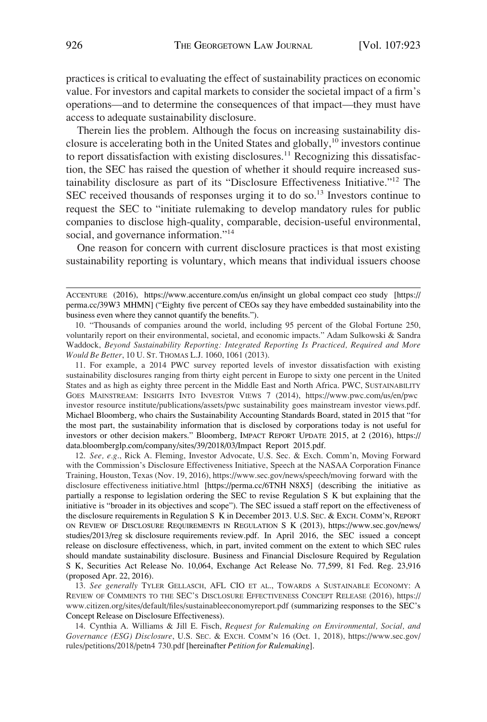practices is critical to evaluating the effect of sustainability practices on economic value. For investors and capital markets to consider the societal impact of a firm's operations—and to determine the consequences of that impact—they must have access to adequate sustainability disclosure.

Therein lies the problem. Although the focus on increasing sustainability disclosure is accelerating both in the United States and globally, $10$  investors continue to report dissatisfaction with existing disclosures.<sup>11</sup> Recognizing this dissatisfaction, the SEC has raised the question of whether it should require increased sustainability disclosure as part of its "Disclosure Effectiveness Initiative."12 The SEC received thousands of responses urging it to do so.<sup>13</sup> Investors continue to request the SEC to "initiate rulemaking to develop mandatory rules for public companies to disclose high-quality, comparable, decision-useful environmental, social, and governance information."<sup>14</sup>

One reason for concern with current disclosure practices is that most existing sustainability reporting is voluntary, which means that individual issuers choose

10. "Thousands of companies around the world, including 95 percent of the Global Fortune 250, voluntarily report on their environmental, societal, and economic impacts." Adam Sulkowski & Sandra Waddock, *Beyond Sustainability Reporting: Integrated Reporting Is Practiced, Required and More Would Be Better*, 10 U. ST. THOMAS L.J. 1060, 1061 (2013).

11. For example, a 2014 PWC survey reported levels of investor dissatisfaction with existing sustainability disclosures ranging from thirty eight percent in Europe to sixty one percent in the United States and as high as eighty three percent in the Middle East and North Africa. PWC, SUSTAINABILITY GOES MAINSTREAM: INSIGHTS INTO INVESTOR VIEWS 7 (2014), https://www.pwc.com/us/en/pwc investor resource institute/publications/assets/pwc sustainability goes mainstream investor views.pdf. Michael Bloomberg, who chairs the Sustainability Accounting Standards Board, stated in 2015 that "for the most part, the sustainability information that is disclosed by corporations today is not useful for investors or other decision makers." Bloomberg, IMPACT REPORT UPDATE 2015, at 2 (2016), https:// data.bloomberglp.com/company/sites/39/2018/03/Impact Report 2015.pdf.

12. See, e.g., Rick A. Fleming, Investor Advocate, U.S. Sec. & Exch. Comm'n, Moving Forward with the Commission's Disclosure Effectiveness Initiative, Speech at the NASAA Corporation Finance Training, Houston, Texas (Nov. 19, 2016), https://www.sec.gov/news/speech/moving forward with the disclosure effectiveness initiative.html [https://perma.cc/6TNH N8X5] (describing the initiative as partially a response to legislation ordering the SEC to revise Regulation S K but explaining that the initiative is "broader in its objectives and scope"). The SEC issued a staff report on the effectiveness of the disclosure requirements in Regulation S K in December 2013. U.S. SEC. & EXCH. COMM'N, REPORT ON REVIEW OF DISCLOSURE REQUIREMENTS IN REGULATION S K (2013), https://www.sec.gov/news/ studies/2013/reg sk disclosure requirements review.pdf. In April 2016, the SEC issued a concept release on disclosure effectiveness, which, in part, invited comment on the extent to which SEC rules should mandate sustainability disclosure. Business and Financial Disclosure Required by Regulation S K, Securities Act Release No. 10,064, Exchange Act Release No. 77,599, 81 Fed. Reg. 23,916 (proposed Apr. 22, 2016).

13. See generally TYLER GELLASCH, AFL CIO ET AL., TOWARDS A SUSTAINABLE ECONOMY: A REVIEW OF COMMENTS TO THE SEC'S DISCLOSURE EFFECTIVENESS CONCEPT RELEASE (2016), https:// www.citizen.org/sites/default/files/sustainableeconomyreport.pdf (summarizing responses to the SEC's Concept Release on Disclosure Effectiveness).

Cynthia A. Williams & Jill E. Fisch, *Request for Rulemaking on Environmental, Social, and*  14. *Governance (ESG) Disclosure*, U.S. SEC. & EXCH. COMM'N 16 (Oct. 1, 2018), https://www.sec.gov/ rules/petitions/2018/petn4 730.pdf [hereinafter *Petition for Rulemaking*].

ACCENTURE (2016), https://www.accenture.com/us en/insight un global compact ceo study [https:// perma.cc/39W3 MHMN] ("Eighty five percent of CEOs say they have embedded sustainability into the business even where they cannot quantify the benefits.").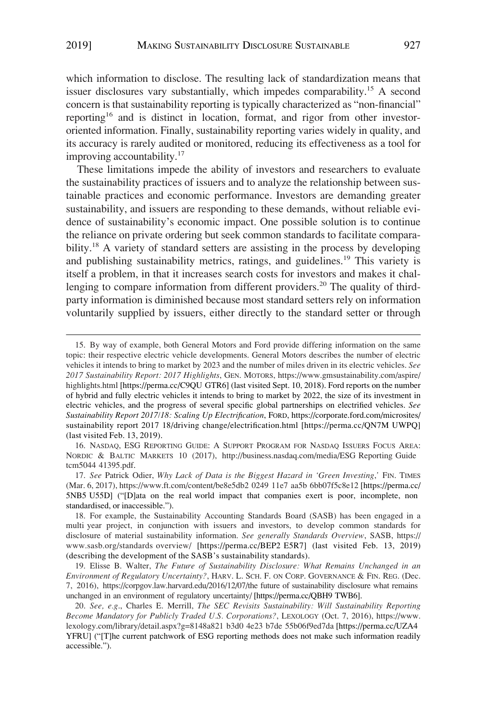which information to disclose. The resulting lack of standardization means that issuer disclosures vary substantially, which impedes comparability.<sup>15</sup> A second concern is that sustainability reporting is typically characterized as "non-financial" reporting<sup>16</sup> and is distinct in location, format, and rigor from other investororiented information. Finally, sustainability reporting varies widely in quality, and its accuracy is rarely audited or monitored, reducing its effectiveness as a tool for improving accountability.<sup>17</sup>

These limitations impede the ability of investors and researchers to evaluate the sustainability practices of issuers and to analyze the relationship between sustainable practices and economic performance. Investors are demanding greater sustainability, and issuers are responding to these demands, without reliable evidence of sustainability's economic impact. One possible solution is to continue the reliance on private ordering but seek common standards to facilitate comparability.<sup>18</sup> A variety of standard setters are assisting in the process by developing and publishing sustainability metrics, ratings, and guidelines.<sup>19</sup> This variety is itself a problem, in that it increases search costs for investors and makes it challenging to compare information from different providers.<sup>20</sup> The quality of thirdparty information is diminished because most standard setters rely on information voluntarily supplied by issuers, either directly to the standard setter or through

16. NASDAQ, ESG REPORTING GUIDE: A SUPPORT PROGRAM FOR NASDAQ ISSUERS FOCUS AREA: NORDIC & BALTIC MARKETS 10 (2017), http://business.nasdaq.com/media/ESG Reporting Guide tcm5044 41395.pdf.

<sup>15.</sup> By way of example, both General Motors and Ford provide differing information on the same topic: their respective electric vehicle developments. General Motors describes the number of electric vehicles it intends to bring to market by 2023 and the number of miles driven in its electric vehicles. *See 2017 Sustainability Report: 2017 Highlights*, GEN. MOTORS, https://www.gmsustainability.com/aspire/ highlights.html [https://perma.cc/C9QU GTR6] (last visited Sept. 10, 2018). Ford reports on the number of hybrid and fully electric vehicles it intends to bring to market by 2022, the size of its investment in electric vehicles, and the progress of several specific global partnerships on electrified vehicles. *See Sustainability Report 2017/18: Scaling Up Electrification*, FORD, https://corporate.ford.com/microsites/ sustainability report 2017 18/driving change/electrification.html [https://perma.cc/QN7M UWPQ] (last visited Feb. 13, 2019).

<sup>17.</sup> See Patrick Odier, *Why Lack of Data is the Biggest Hazard in 'Green Investing,' FIN. TIMES* (Mar. 6, 2017), https://www.ft.com/content/be8e5db2 0249 11e7 aa5b 6bb07f5c8e12 [https://perma.cc/ 5NB5 U55D] ("[D]ata on the real world impact that companies exert is poor, incomplete, non standardised, or inaccessible.").

<sup>18.</sup> For example, the Sustainability Accounting Standards Board (SASB) has been engaged in a multi year project, in conjunction with issuers and investors, to develop common standards for disclosure of material sustainability information. *See generally Standards Overview*, SASB, https:// www.sasb.org/standards overview/ [https://perma.cc/BEP2 E5R7] (last visited Feb. 13, 2019) (describing the development of the SASB's sustainability standards).

Elisse B. Walter, *The Future of Sustainability Disclosure: What Remains Unchanged in an*  19. *Environment of Regulatory Uncertainty?*, HARV. L. SCH. F. ON CORP. GOVERNANCE & FIN. REG. (Dec. 7, 2016), https://corpgov.law.harvard.edu/2016/12/07/the future of sustainability disclosure what remains unchanged in an environment of regulatory uncertainty/ [https://perma.cc/QBH9 TWB6].

*See, e.g*., Charles E. Merrill, *The SEC Revisits Sustainability: Will Sustainability Reporting*  20. *Become Mandatory for Publicly Traded U.S. Corporations?*, LEXOLOGY (Oct. 7, 2016), https://www. lexology.com/library/detail.aspx?g=8148a821 b3d0 4e23 b7de 55b06f9ed7da [https://perma.cc/UZA4 YFRU] ("[T]he current patchwork of ESG reporting methods does not make such information readily accessible.").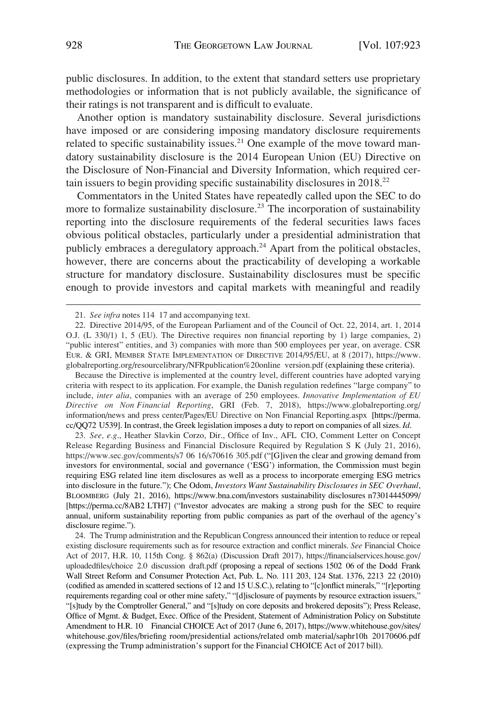public disclosures. In addition, to the extent that standard setters use proprietary methodologies or information that is not publicly available, the significance of their ratings is not transparent and is difficult to evaluate.

Another option is mandatory sustainability disclosure. Several jurisdictions have imposed or are considering imposing mandatory disclosure requirements related to specific sustainability issues.<sup>21</sup> One example of the move toward mandatory sustainability disclosure is the 2014 European Union (EU) Directive on the Disclosure of Non-Financial and Diversity Information, which required certain issuers to begin providing specific sustainability disclosures in 2018.22

Commentators in the United States have repeatedly called upon the SEC to do more to formalize sustainability disclosure.<sup>23</sup> The incorporation of sustainability reporting into the disclosure requirements of the federal securities laws faces obvious political obstacles, particularly under a presidential administration that publicly embraces a deregulatory approach.<sup>24</sup> Apart from the political obstacles, however, there are concerns about the practicability of developing a workable structure for mandatory disclosure. Sustainability disclosures must be specific enough to provide investors and capital markets with meaningful and readily

Because the Directive is implemented at the country level, different countries have adopted varying criteria with respect to its application. For example, the Danish regulation redefines "large company" to include, *inter alia*, companies with an average of 250 employees. *Innovative Implementation of EU Directive on Non Financial Reporting*, GRI (Feb. 7, 2018), https://www.globalreporting.org/ information/news and press center/Pages/EU Directive on Non Financial Reporting.aspx [https://perma. cc/QQ72 U539]. In contrast, the Greek legislation imposes a duty to report on companies of all sizes. *Id*.

23. See, e.g., Heather Slavkin Corzo, Dir., Office of Inv., AFL CIO, Comment Letter on Concept Release Regarding Business and Financial Disclosure Required by Regulation S K (July 21, 2016), https://www.sec.gov/comments/s7 06 16/s70616 305.pdf ("[G]iven the clear and growing demand from investors for environmental, social and governance ('ESG') information, the Commission must begin requiring ESG related line item disclosures as well as a process to incorporate emerging ESG metrics into disclosure in the future."); Che Odom, *Investors Want Sustainability Disclosures in SEC Overhaul*, BLOOMBERG (July 21, 2016), https://www.bna.com/investors sustainability disclosures n73014445099/ [https://perma.cc/8AB2 LTH7] ("Investor advocates are making a strong push for the SEC to require annual, uniform sustainability reporting from public companies as part of the overhaul of the agency's disclosure regime.").

The Trump administration and the Republican Congress announced their intention to reduce or repeal 24. existing disclosure requirements such as for resource extraction and conflict minerals. *See* Financial Choice Act of 2017, H.R. 10, 115th Cong. § 862(a) (Discussion Draft 2017), https://financialservices.house.gov/ uploadedfiles/choice 2.0 discussion draft.pdf (proposing a repeal of sections 1502 06 of the Dodd Frank Wall Street Reform and Consumer Protection Act, Pub. L. No. 111 203, 124 Stat. 1376, 2213 22 (2010) (codified as amended in scattered sections of 12 and 15 U.S.C.), relating to "[c]onflict minerals," "[r]eporting requirements regarding coal or other mine safety," "[d]isclosure of payments by resource extraction issuers," "[s]tudy by the Comptroller General," and "[s]tudy on core deposits and brokered deposits"); Press Release, Office of Mgmt. & Budget, Exec. Office of the President, Statement of Administration Policy on Substitute Amendment to H.R. 10 Financial CHOICE Act of 2017 (June 6, 2017), https://www.whitehouse.gov/sites/ whitehouse.gov/files/briefing room/presidential actions/related omb material/saphr10h 20170606.pdf (expressing the Trump administration's support for the Financial CHOICE Act of 2017 bill).

<sup>21.</sup> *See infra* notes 114 17 and accompanying text.

<sup>22.</sup> Directive 2014/95, of the European Parliament and of the Council of Oct. 22, 2014, art. 1, 2014 O.J. (L 330/1) 1, 5 (EU). The Directive requires non financial reporting by 1) large companies, 2) "public interest" entities, and 3) companies with more than 500 employees per year, on average. CSR EUR. & GRI, MEMBER STATE IMPLEMENTATION OF DIRECTIVE 2014/95/EU, at 8 (2017), https://www. globalreporting.org/resourcelibrary/NFRpublication%20online version.pdf (explaining these criteria).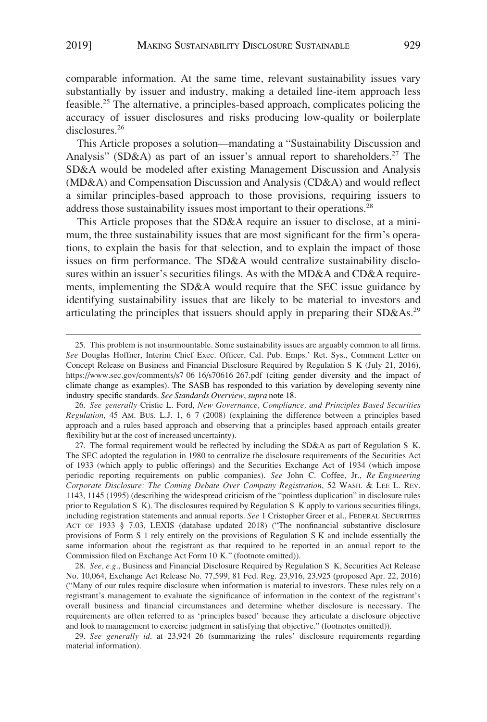comparable information. At the same time, relevant sustainability issues vary substantially by issuer and industry, making a detailed line-item approach less feasible.<sup>25</sup> The alternative, a principles-based approach, complicates policing the accuracy of issuer disclosures and risks producing low-quality or boilerplate disclosures.<sup>26</sup>

This Article proposes a solution—mandating a "Sustainability Discussion and Analysis" (SD&A) as part of an issuer's annual report to shareholders.<sup>27</sup> The SD&A would be modeled after existing Management Discussion and Analysis (MD&A) and Compensation Discussion and Analysis (CD&A) and would reflect a similar principles-based approach to those provisions, requiring issuers to address those sustainability issues most important to their operations.<sup>28</sup>

This Article proposes that the SD&A require an issuer to disclose, at a minimum, the three sustainability issues that are most significant for the firm's operations, to explain the basis for that selection, and to explain the impact of those issues on firm performance. The SD&A would centralize sustainability disclosures within an issuer's securities filings. As with the MD&A and CD&A requirements, implementing the SD&A would require that the SEC issue guidance by identifying sustainability issues that are likely to be material to investors and articulating the principles that issuers should apply in preparing their SD&As.<sup>29</sup>

28. *See, e.g*., Business and Financial Disclosure Required by Regulation S K, Securities Act Release No. 10,064, Exchange Act Release No. 77,599, 81 Fed. Reg. 23,916, 23,925 (proposed Apr. 22, 2016) ("Many of our rules require disclosure when information is material to investors. These rules rely on a registrant's management to evaluate the significance of information in the context of the registrant's overall business and financial circumstances and determine whether disclosure is necessary. The requirements are often referred to as 'principles based' because they articulate a disclosure objective and look to management to exercise judgment in satisfying that objective." (footnotes omitted)).

29. *See generally id*. at 23,924 26 (summarizing the rules' disclosure requirements regarding material information).

<sup>25.</sup> This problem is not insurmountable. Some sustainability issues are arguably common to all firms. *See* Douglas Hoffner, Interim Chief Exec. Officer, Cal. Pub. Emps.' Ret. Sys., Comment Letter on Concept Release on Business and Financial Disclosure Required by Regulation S K (July 21, 2016), https://www.sec.gov/comments/s7 06 16/s70616 267.pdf (citing gender diversity and the impact of climate change as examples). The SASB has responded to this variation by developing seventy nine industry specific standards. *See Standards Overview*, *supra* note 18.

<sup>26.</sup> *See generally* Cristie L. Ford, *New Governance, Compliance, and Principles Based Securities Regulation*, 45 AM. BUS. L.J. 1, 6 7 (2008) (explaining the difference between a principles based approach and a rules based approach and observing that a principles based approach entails greater flexibility but at the cost of increased uncertainty).

<sup>27.</sup> The formal requirement would be reflected by including the SD&A as part of Regulation S K. The SEC adopted the regulation in 1980 to centralize the disclosure requirements of the Securities Act of 1933 (which apply to public offerings) and the Securities Exchange Act of 1934 (which impose periodic reporting requirements on public companies). *See* John C. Coffee, Jr., *Re Engineering Corporate Disclosure: The Coming Debate Over Company Registration*, 52 WASH. & LEE L. REV. 1143, 1145 (1995) (describing the widespread criticism of the "pointless duplication" in disclosure rules prior to Regulation S K). The disclosures required by Regulation S K apply to various securities filings, including registration statements and annual reports. *See* 1 Cristopher Greer et al., FEDERAL SECURITIES ACT OF 1933 § 7.03, LEXIS (database updated 2018) ("The nonfinancial substantive disclosure provisions of Form S 1 rely entirely on the provisions of Regulation S K and include essentially the same information about the registrant as that required to be reported in an annual report to the Commission filed on Exchange Act Form 10 K." (footnote omitted)).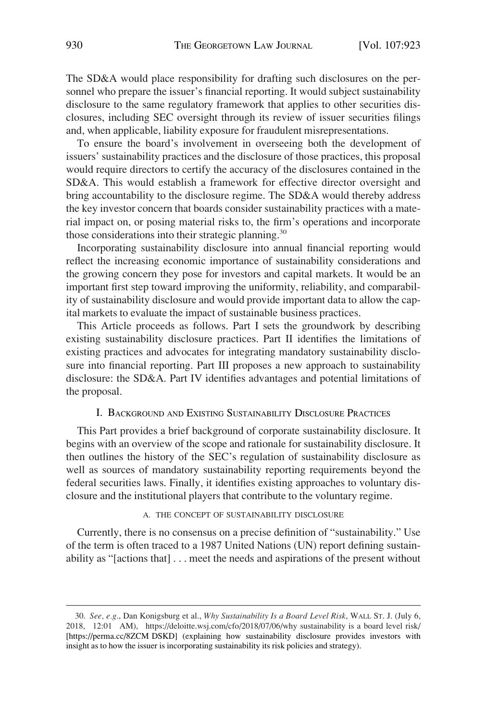The SD&A would place responsibility for drafting such disclosures on the personnel who prepare the issuer's financial reporting. It would subject sustainability disclosure to the same regulatory framework that applies to other securities disclosures, including SEC oversight through its review of issuer securities filings and, when applicable, liability exposure for fraudulent misrepresentations.

To ensure the board's involvement in overseeing both the development of issuers' sustainability practices and the disclosure of those practices, this proposal would require directors to certify the accuracy of the disclosures contained in the SD&A. This would establish a framework for effective director oversight and bring accountability to the disclosure regime. The SD&A would thereby address the key investor concern that boards consider sustainability practices with a material impact on, or posing material risks to, the firm's operations and incorporate those considerations into their strategic planning.<sup>30</sup>

Incorporating sustainability disclosure into annual financial reporting would reflect the increasing economic importance of sustainability considerations and the growing concern they pose for investors and capital markets. It would be an important first step toward improving the uniformity, reliability, and comparability of sustainability disclosure and would provide important data to allow the capital markets to evaluate the impact of sustainable business practices.

This Article proceeds as follows. Part I sets the groundwork by describing existing sustainability disclosure practices. Part II identifies the limitations of existing practices and advocates for integrating mandatory sustainability disclosure into financial reporting. Part III proposes a new approach to sustainability disclosure: the SD&A. Part IV identifies advantages and potential limitations of the proposal.

# I. BACKGROUND AND EXISTING SUSTAINABILITY DISCLOSURE PRACTICES

This Part provides a brief background of corporate sustainability disclosure. It begins with an overview of the scope and rationale for sustainability disclosure. It then outlines the history of the SEC's regulation of sustainability disclosure as well as sources of mandatory sustainability reporting requirements beyond the federal securities laws. Finally, it identifies existing approaches to voluntary disclosure and the institutional players that contribute to the voluntary regime.

# A. THE CONCEPT OF SUSTAINABILITY DISCLOSURE

Currently, there is no consensus on a precise definition of "sustainability." Use of the term is often traced to a 1987 United Nations (UN) report defining sustainability as "[actions that] . . . meet the needs and aspirations of the present without

*See, e.g*., Dan Konigsburg et al., *Why Sustainability Is a Board Level Risk*, WALL ST. J. (July 6, 30. 2018, 12:01 AM), https://deloitte.wsj.com/cfo/2018/07/06/why sustainability is a board level risk/ [https://perma.cc/8ZCM DSKD] (explaining how sustainability disclosure provides investors with insight as to how the issuer is incorporating sustainability its risk policies and strategy).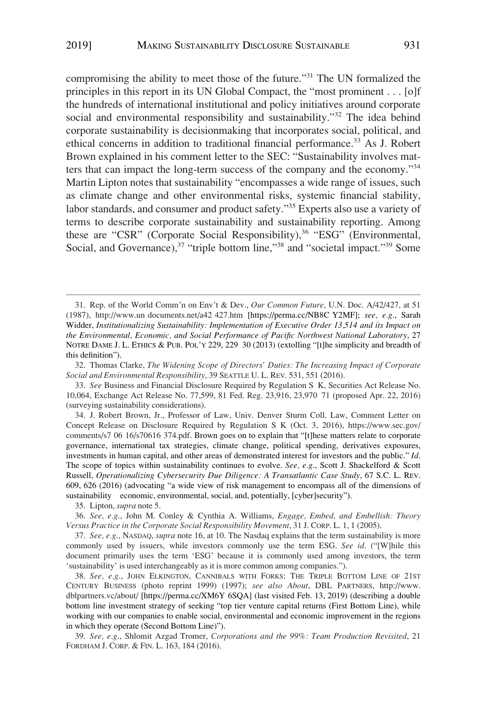compromising the ability to meet those of the future."<sup>31</sup> The UN formalized the principles in this report in its UN Global Compact, the "most prominent . . . [o]f the hundreds of international institutional and policy initiatives around corporate social and environmental responsibility and sustainability."<sup>32</sup> The idea behind corporate sustainability is decisionmaking that incorporates social, political, and ethical concerns in addition to traditional financial performance.<sup>33</sup> As J. Robert Brown explained in his comment letter to the SEC: "Sustainability involves matters that can impact the long-term success of the company and the economy.<sup>34</sup> Martin Lipton notes that sustainability "encompasses a wide range of issues, such as climate change and other environmental risks, systemic financial stability, labor standards, and consumer and product safety."<sup>35</sup> Experts also use a variety of terms to describe corporate sustainability and sustainability reporting. Among these are "CSR" (Corporate Social Responsibility),  $36$  "ESG" (Environmental, Social, and Governance),<sup>37</sup> "triple bottom line,"<sup>38</sup> and "societal impact."<sup>39</sup> Some

32. Thomas Clarke, *The Widening Scope of Directors' Duties: The Increasing Impact of Corporate Social and Environmental Responsibility*, 39 SEATTLE U. L. REV. 531, 551 (2016).

34. J. Robert Brown, Jr., Professor of Law, Univ. Denver Sturm Coll. Law, Comment Letter on Concept Release on Disclosure Required by Regulation S K (Oct. 3, 2016), https://www.sec.gov/ comments/s7 06 16/s70616 374.pdf. Brown goes on to explain that "[t]hese matters relate to corporate governance, international tax strategies, climate change, political spending, derivatives exposures, investments in human capital, and other areas of demonstrated interest for investors and the public." *Id*. The scope of topics within sustainability continues to evolve. *See, e.g*., Scott J. Shackelford & Scott Russell, *Operationalizing Cybersecurity Due Diligence: A Transatlantic Case Study*, 67 S.C. L. REV. 609, 626 (2016) (advocating "a wide view of risk management to encompass all of the dimensions of sustainability economic, environmental, social, and, potentially, [cyber]security").

35. Lipton, *supra* note 5.

37. *See, e.g*., NASDAQ, *supra* note 16, at 10. The Nasdaq explains that the term sustainability is more commonly used by issuers, while investors commonly use the term ESG. *See id*. ("[W]hile this document primarily uses the term 'ESG' because it is commonly used among investors, the term 'sustainability' is used interchangeably as it is more common among companies.").

38. See, e.g., JOHN ELKINGTON, CANNIBALS WITH FORKS: THE TRIPLE BOTTOM LINE OF 21ST CENTURY BUSINESS (photo reprint 1999) (1997); *see also About*, DBL PARTNERS, http://www. dblpartners.vc/about/ [https://perma.cc/XM6Y 6SQA] (last visited Feb. 13, 2019) (describing a double bottom line investment strategy of seeking "top tier venture capital returns (First Bottom Line), while working with our companies to enable social, environmental and economic improvement in the regions in which they operate (Second Bottom Line)").

39. *See, e.g*., Shlomit Azgad Tromer, *Corporations and the 99%: Team Production Revisited*, 21 FORDHAM J. CORP. & FIN. L. 163, 184 (2016).

<sup>31.</sup> Rep. of the World Comm'n on Env't & Dev., *Our Common Future*, U.N. Doc. A/42/427, at 51 (1987), http://www.un documents.net/a42 427.htm [https://perma.cc/NB8C Y2MF]; *see, e.g*., Sarah Widder, *Institutionalizing Sustainability: Implementation of Executive Order 13,514 and its Impact on the Environmental, Economic, and Social Performance of Pacific Northwest National Laboratory*, 27 NOTRE DAME J. L. ETHICS & PUB. POL'Y 229, 229 30 (2013) (extolling "[t]he simplicity and breadth of this definition").

<sup>33.</sup> *See* Business and Financial Disclosure Required by Regulation S K, Securities Act Release No. 10,064, Exchange Act Release No. 77,599, 81 Fed. Reg. 23,916, 23,970 71 (proposed Apr. 22, 2016) (surveying sustainability considerations).

<sup>36.</sup> *See, e.g*., John M. Conley & Cynthia A. Williams, *Engage, Embed, and Embellish: Theory Versus Practice in the Corporate Social Responsibility Movement*, 31 J. CORP. L. 1, 1 (2005).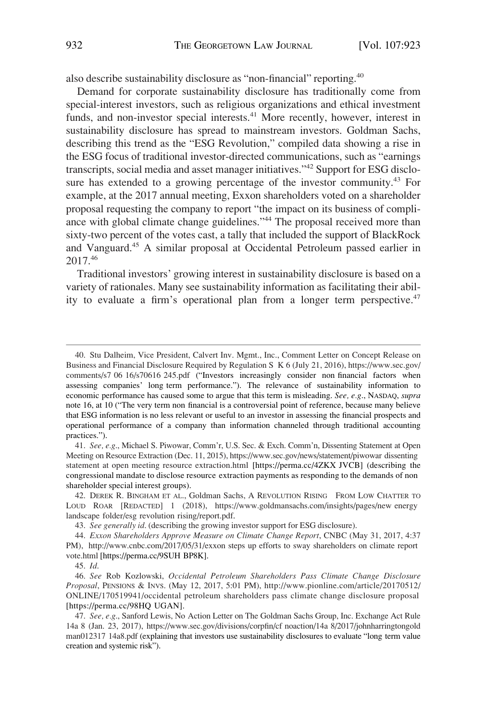also describe sustainability disclosure as "non-financial" reporting.40

Demand for corporate sustainability disclosure has traditionally come from special-interest investors, such as religious organizations and ethical investment funds, and non-investor special interests.<sup>41</sup> More recently, however, interest in sustainability disclosure has spread to mainstream investors. Goldman Sachs, describing this trend as the "ESG Revolution," compiled data showing a rise in the ESG focus of traditional investor-directed communications, such as "earnings transcripts, social media and asset manager initiatives."<sup>42</sup> Support for ESG disclosure has extended to a growing percentage of the investor community.<sup>43</sup> For example, at the 2017 annual meeting, Exxon shareholders voted on a shareholder proposal requesting the company to report "the impact on its business of compliance with global climate change guidelines."<sup>44</sup> The proposal received more than sixty-two percent of the votes cast, a tally that included the support of BlackRock and Vanguard.45 A similar proposal at Occidental Petroleum passed earlier in 2017.46

Traditional investors' growing interest in sustainability disclosure is based on a variety of rationales. Many see sustainability information as facilitating their ability to evaluate a firm's operational plan from a longer term perspective.<sup>47</sup>

<sup>40.</sup> Stu Dalheim, Vice President, Calvert Inv. Mgmt., Inc., Comment Letter on Concept Release on Business and Financial Disclosure Required by Regulation S K 6 (July 21, 2016), https://www.sec.gov/ comments/s7 06 16/s70616 245.pdf ("Investors increasingly consider non financial factors when assessing companies' long term performance."). The relevance of sustainability information to economic performance has caused some to argue that this term is misleading. *See, e.g*., NASDAQ, *supra*  note 16, at 10 ("The very term non financial is a controversial point of reference, because many believe that ESG information is no less relevant or useful to an investor in assessing the financial prospects and operational performance of a company than information channeled through traditional accounting practices.").

<sup>41.</sup> See, e.g., Michael S. Piwowar, Comm'r, U.S. Sec. & Exch. Comm'n, Dissenting Statement at Open Meeting on Resource Extraction (Dec. 11, 2015), https://www.sec.gov/news/statement/piwowar dissenting statement at open meeting resource extraction.html [https://perma.cc/4ZKX JVCB] (describing the congressional mandate to disclose resource extraction payments as responding to the demands of non shareholder special interest groups).

DEREK R. BINGHAM ET AL., Goldman Sachs, A REVOLUTION RISING FROM LOW CHATTER TO 42. LOUD ROAR [REDACTED] 1 (2018), https://www.goldmansachs.com/insights/pages/new energy landscape folder/esg revolution rising/report.pdf.

<sup>43.</sup> *See generally id*. (describing the growing investor support for ESG disclosure).

*Exxon Shareholders Approve Measure on Climate Change Report*, CNBC (May 31, 2017, 4:37 44. PM), http://www.cnbc.com/2017/05/31/exxon steps up efforts to sway shareholders on climate report vote.html [https://perma.cc/9SUH BP8K].

<sup>45.</sup> *Id*.

*See* Rob Kozlowski, *Occidental Petroleum Shareholders Pass Climate Change Disclosure*  46. *Proposal*, PENSIONS & INVS. (May 12, 2017, 5:01 PM), http://www.pionline.com/article/20170512/ ONLINE/170519941/occidental petroleum shareholders pass climate change disclosure proposal [https://perma.cc/98HQ UGAN].

<sup>47.</sup>  *See, e.g*., Sanford Lewis, No Action Letter on The Goldman Sachs Group, Inc. Exchange Act Rule 14a 8 (Jan. 23, 2017), https://www.sec.gov/divisions/corpfin/cf noaction/14a 8/2017/johnharringtongold man012317 14a8.pdf (explaining that investors use sustainability disclosures to evaluate "long term value creation and systemic risk").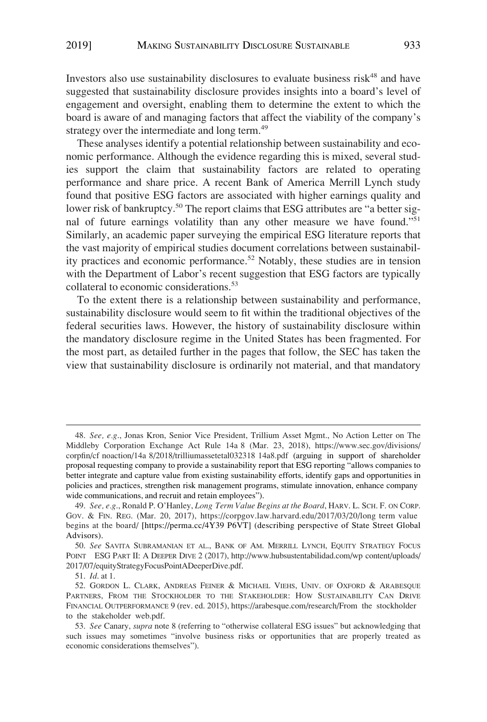Investors also use sustainability disclosures to evaluate business risk<sup>48</sup> and have suggested that sustainability disclosure provides insights into a board's level of engagement and oversight, enabling them to determine the extent to which the board is aware of and managing factors that affect the viability of the company's strategy over the intermediate and long term.<sup>49</sup>

These analyses identify a potential relationship between sustainability and economic performance. Although the evidence regarding this is mixed, several studies support the claim that sustainability factors are related to operating performance and share price. A recent Bank of America Merrill Lynch study found that positive ESG factors are associated with higher earnings quality and lower risk of bankruptcy.<sup>50</sup> The report claims that ESG attributes are "a better signal of future earnings volatility than any other measure we have found."51 Similarly, an academic paper surveying the empirical ESG literature reports that the vast majority of empirical studies document correlations between sustainability practices and economic performance.<sup>52</sup> Notably, these studies are in tension with the Department of Labor's recent suggestion that ESG factors are typically collateral to economic considerations.<sup>53</sup>

To the extent there is a relationship between sustainability and performance, sustainability disclosure would seem to fit within the traditional objectives of the federal securities laws. However, the history of sustainability disclosure within the mandatory disclosure regime in the United States has been fragmented. For the most part, as detailed further in the pages that follow, the SEC has taken the view that sustainability disclosure is ordinarily not material, and that mandatory

51. *Id*. at 1.

*See, e.g*., Jonas Kron, Senior Vice President, Trillium Asset Mgmt., No Action Letter on The 48. Middleby Corporation Exchange Act Rule 14a 8 (Mar. 23, 2018), https://www.sec.gov/divisions/ corpfin/cf noaction/14a 8/2018/trilliumassetetal032318 14a8.pdf (arguing in support of shareholder proposal requesting company to provide a sustainability report that ESG reporting "allows companies to better integrate and capture value from existing sustainability efforts, identify gaps and opportunities in policies and practices, strengthen risk management programs, stimulate innovation, enhance company wide communications, and recruit and retain employees").

*See, e.g*., Ronald P. O'Hanley, *Long Term Value Begins at the Board*, HARV. L. SCH. F. ON CORP. 49. GOV. & FIN. REG. (Mar. 20, 2017), https://corpgov.law.harvard.edu/2017/03/20/long term value begins at the board/ [https://perma.cc/4Y39 P6VT] (describing perspective of State Street Global Advisors).

*See* SAVITA SUBRAMANIAN ET AL., BANK OF AM. MERRILL LYNCH, EQUITY STRATEGY FOCUS 50. POINT ESG PART II: A DEEPER DIVE 2 (2017), http://www.hubsustentabilidad.com/wp content/uploads/ 2017/07/equityStrategyFocusPointADeeperDive.pdf.

<sup>52.</sup> GORDON L. CLARK, ANDREAS FEINER & MICHAEL VIEHS, UNIV. OF OXFORD & ARABESQUE PARTNERS, FROM THE STOCKHOLDER TO THE STAKEHOLDER: HOW SUSTAINABILITY CAN DRIVE FINANCIAL OUTPERFORMANCE 9 (rev. ed. 2015), https://arabesque.com/research/From the stockholder to the stakeholder web.pdf.

<sup>53.</sup> *See* Canary, *supra* note 8 (referring to "otherwise collateral ESG issues" but acknowledging that such issues may sometimes "involve business risks or opportunities that are properly treated as economic considerations themselves").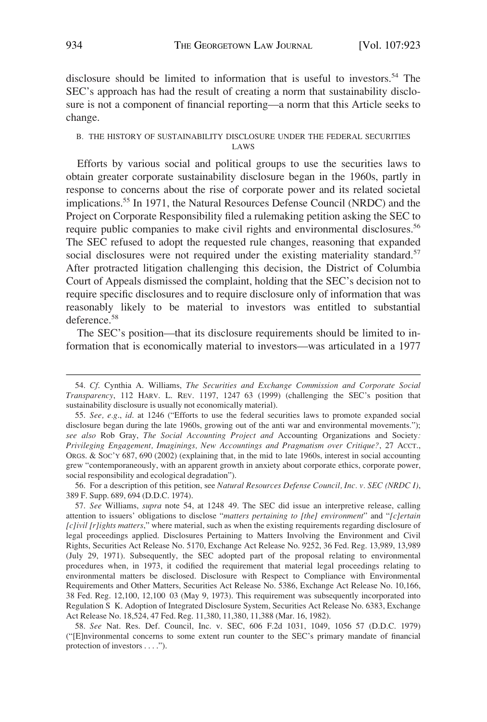disclosure should be limited to information that is useful to investors.<sup>54</sup> The SEC's approach has had the result of creating a norm that sustainability disclosure is not a component of financial reporting—a norm that this Article seeks to change.

# B. THE HISTORY OF SUSTAINABILITY DISCLOSURE UNDER THE FEDERAL SECURITIES LAWS

Efforts by various social and political groups to use the securities laws to obtain greater corporate sustainability disclosure began in the 1960s, partly in response to concerns about the rise of corporate power and its related societal implications.55 In 1971, the Natural Resources Defense Council (NRDC) and the Project on Corporate Responsibility filed a rulemaking petition asking the SEC to require public companies to make civil rights and environmental disclosures.<sup>56</sup> The SEC refused to adopt the requested rule changes, reasoning that expanded social disclosures were not required under the existing materiality standard.<sup>57</sup> After protracted litigation challenging this decision, the District of Columbia Court of Appeals dismissed the complaint, holding that the SEC's decision not to require specific disclosures and to require disclosure only of information that was reasonably likely to be material to investors was entitled to substantial deference.<sup>58</sup>

The SEC's position—that its disclosure requirements should be limited to information that is economically material to investors—was articulated in a 1977

56. For a description of this petition, see *Natural Resources Defense Council, Inc. v. SEC (NRDC I)*, 389 F. Supp. 689, 694 (D.D.C. 1974).

57. *See* Williams, *supra* note 54, at 1248 49. The SEC did issue an interpretive release, calling attention to issuers' obligations to disclose "*matters pertaining to [the] environment*" and "*[c]ertain [c]ivil [r]ights matters*," where material, such as when the existing requirements regarding disclosure of legal proceedings applied. Disclosures Pertaining to Matters Involving the Environment and Civil Rights, Securities Act Release No. 5170, Exchange Act Release No. 9252, 36 Fed. Reg. 13,989, 13,989 (July 29, 1971). Subsequently, the SEC adopted part of the proposal relating to environmental procedures when, in 1973, it codified the requirement that material legal proceedings relating to environmental matters be disclosed. Disclosure with Respect to Compliance with Environmental Requirements and Other Matters, Securities Act Release No. 5386, Exchange Act Release No. 10,166, 38 Fed. Reg. 12,100, 12,100 03 (May 9, 1973). This requirement was subsequently incorporated into Regulation S K. Adoption of Integrated Disclosure System, Securities Act Release No. 6383, Exchange Act Release No. 18,524, 47 Fed. Reg. 11,380, 11,380, 11,388 (Mar. 16, 1982).

58. *See* Nat. Res. Def. Council, Inc. v. SEC, 606 F.2d 1031, 1049, 1056 57 (D.D.C. 1979) ("[E]nvironmental concerns to some extent run counter to the SEC's primary mandate of financial protection of investors . . . .").

<sup>54.</sup> *Cf*. Cynthia A. Williams, *The Securities and Exchange Commission and Corporate Social Transparency*, 112 HARV. L. REV. 1197, 1247 63 (1999) (challenging the SEC's position that sustainability disclosure is usually not economically material).

<sup>55.</sup> *See, e.g*., *id*. at 1246 ("Efforts to use the federal securities laws to promote expanded social disclosure began during the late 1960s, growing out of the anti war and environmental movements."); *see also* Rob Gray, *The Social Accounting Project and* Accounting Organizations and Society*: Privileging Engagement, Imaginings, New Accountings and Pragmatism over Critique?*, 27 ACCT., ORGS. & SOC'Y 687, 690 (2002) (explaining that, in the mid to late 1960s, interest in social accounting grew "contemporaneously, with an apparent growth in anxiety about corporate ethics, corporate power, social responsibility and ecological degradation").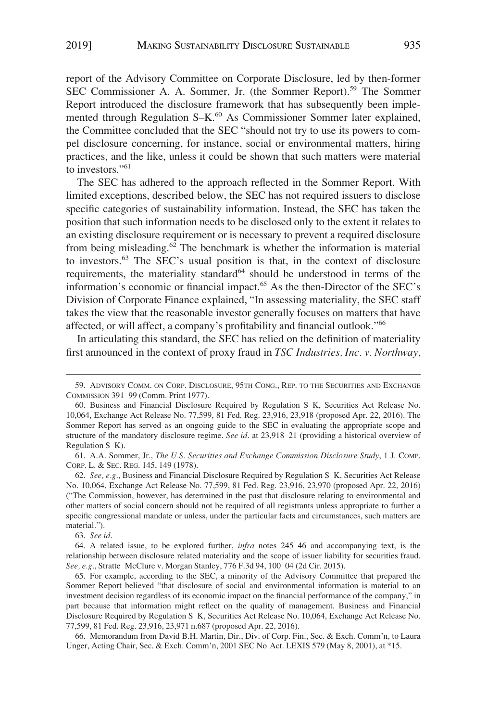report of the Advisory Committee on Corporate Disclosure, led by then-former SEC Commissioner A. A. Sommer, Jr. (the Sommer Report).<sup>59</sup> The Sommer Report introduced the disclosure framework that has subsequently been implemented through Regulation S–K.<sup>60</sup> As Commissioner Sommer later explained, the Committee concluded that the SEC "should not try to use its powers to compel disclosure concerning, for instance, social or environmental matters, hiring practices, and the like, unless it could be shown that such matters were material to investors."61

The SEC has adhered to the approach reflected in the Sommer Report. With limited exceptions, described below, the SEC has not required issuers to disclose specific categories of sustainability information. Instead, the SEC has taken the position that such information needs to be disclosed only to the extent it relates to an existing disclosure requirement or is necessary to prevent a required disclosure from being misleading.<sup>62</sup> The benchmark is whether the information is material to investors.63 The SEC's usual position is that, in the context of disclosure requirements, the materiality standard<sup>64</sup> should be understood in terms of the information's economic or financial impact.65 As the then-Director of the SEC's Division of Corporate Finance explained, "In assessing materiality, the SEC staff takes the view that the reasonable investor generally focuses on matters that have affected, or will affect, a company's profitability and financial outlook."66

In articulating this standard, the SEC has relied on the definition of materiality first announced in the context of proxy fraud in *TSC Industries, Inc. v. Northway,* 

61. A.A. Sommer, Jr., *The U.S. Securities and Exchange Commission Disclosure Study*, 1 J. COMP. CORP. L. & SEC. REG. 145, 149 (1978).

62. *See, e.g*., Business and Financial Disclosure Required by Regulation S K, Securities Act Release No. 10,064, Exchange Act Release No. 77,599, 81 Fed. Reg. 23,916, 23,970 (proposed Apr. 22, 2016) ("The Commission, however, has determined in the past that disclosure relating to environmental and other matters of social concern should not be required of all registrants unless appropriate to further a specific congressional mandate or unless, under the particular facts and circumstances, such matters are material.").

63. *See id*.

64. A related issue, to be explored further, *infra* notes 245 46 and accompanying text, is the relationship between disclosure related materiality and the scope of issuer liability for securities fraud. *See, e.g*., Stratte McClure v. Morgan Stanley, 776 F.3d 94, 100 04 (2d Cir. 2015).

65. For example, according to the SEC, a minority of the Advisory Committee that prepared the Sommer Report believed "that disclosure of social and environmental information is material to an investment decision regardless of its economic impact on the financial performance of the company," in part because that information might reflect on the quality of management. Business and Financial Disclosure Required by Regulation S K, Securities Act Release No. 10,064, Exchange Act Release No. 77,599, 81 Fed. Reg. 23,916, 23,971 n.687 (proposed Apr. 22, 2016).

66. Memorandum from David B.H. Martin, Dir., Div. of Corp. Fin., Sec. & Exch. Comm'n, to Laura Unger, Acting Chair, Sec. & Exch. Comm'n, 2001 SEC No Act. LEXIS 579 (May 8, 2001), at \*15.

<sup>59.</sup> ADVISORY COMM. ON CORP. DISCLOSURE, 95TH CONG., REP. TO THE SECURITIES AND EXCHANGE COMMISSION 391 99 (Comm. Print 1977).

<sup>60.</sup> Business and Financial Disclosure Required by Regulation S K, Securities Act Release No. 10,064, Exchange Act Release No. 77,599, 81 Fed. Reg. 23,916, 23,918 (proposed Apr. 22, 2016). The Sommer Report has served as an ongoing guide to the SEC in evaluating the appropriate scope and structure of the mandatory disclosure regime. *See id*. at 23,918 21 (providing a historical overview of Regulation S K).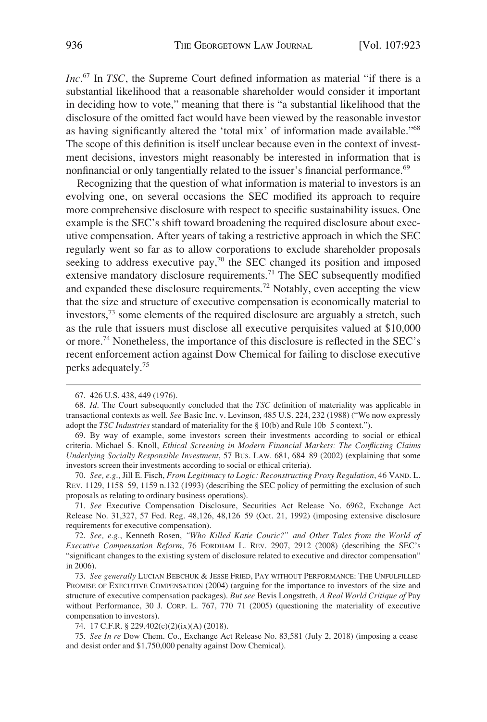*Inc*. 67 In *TSC*, the Supreme Court defined information as material "if there is a substantial likelihood that a reasonable shareholder would consider it important in deciding how to vote," meaning that there is "a substantial likelihood that the disclosure of the omitted fact would have been viewed by the reasonable investor as having significantly altered the 'total mix' of information made available."<sup>68</sup> The scope of this definition is itself unclear because even in the context of investment decisions, investors might reasonably be interested in information that is nonfinancial or only tangentially related to the issuer's financial performance.<sup>69</sup>

Recognizing that the question of what information is material to investors is an evolving one, on several occasions the SEC modified its approach to require more comprehensive disclosure with respect to specific sustainability issues. One example is the SEC's shift toward broadening the required disclosure about executive compensation. After years of taking a restrictive approach in which the SEC regularly went so far as to allow corporations to exclude shareholder proposals seeking to address executive pay,<sup>70</sup> the SEC changed its position and imposed extensive mandatory disclosure requirements.<sup>71</sup> The SEC subsequently modified and expanded these disclosure requirements.72 Notably, even accepting the view that the size and structure of executive compensation is economically material to investors,73 some elements of the required disclosure are arguably a stretch, such as the rule that issuers must disclose all executive perquisites valued at \$10,000 or more.74 Nonetheless, the importance of this disclosure is reflected in the SEC's recent enforcement action against Dow Chemical for failing to disclose executive perks adequately.75

72. *See, e.g*., Kenneth Rosen, *"Who Killed Katie Couric?" and Other Tales from the World of Executive Compensation Reform*, 76 FORDHAM L. REV. 2907, 2912 (2008) (describing the SEC's "significant changes to the existing system of disclosure related to executive and director compensation" in 2006).

73. *See generally* LUCIAN BEBCHUK & JESSE FRIED, PAY WITHOUT PERFORMANCE: THE UNFULFILLED PROMISE OF EXECUTIVE COMPENSATION (2004) (arguing for the importance to investors of the size and structure of executive compensation packages). *But see* Bevis Longstreth, *A Real World Critique of* Pay without Performance, 30 J. CORP. L. 767, 770 71 (2005) (questioning the materiality of executive compensation to investors).

74. 17 C.F.R. § 229.402(c)(2)(ix)(A) (2018).

75. *See In re* Dow Chem. Co., Exchange Act Release No. 83,581 (July 2, 2018) (imposing a cease and desist order and \$1,750,000 penalty against Dow Chemical).

<sup>67. 426</sup> U.S. 438, 449 (1976).

<sup>68.</sup> *Id*. The Court subsequently concluded that the *TSC* definition of materiality was applicable in transactional contexts as well. *See* Basic Inc. v. Levinson, 485 U.S. 224, 232 (1988) ("We now expressly adopt the *TSC Industries* standard of materiality for the § 10(b) and Rule 10b 5 context.").

<sup>69.</sup> By way of example, some investors screen their investments according to social or ethical criteria. Michael S. Knoll, *Ethical Screening in Modern Financial Markets: The Conflicting Claims Underlying Socially Responsible Investment*, 57 BUS. LAW. 681, 684 89 (2002) (explaining that some investors screen their investments according to social or ethical criteria).

<sup>70.</sup> *See, e.g*., Jill E. Fisch, *From Legitimacy to Logic: Reconstructing Proxy Regulation*, 46 VAND. L. REV. 1129, 1158 59, 1159 n.132 (1993) (describing the SEC policy of permitting the exclusion of such proposals as relating to ordinary business operations).

<sup>71.</sup> *See* Executive Compensation Disclosure, Securities Act Release No. 6962, Exchange Act Release No. 31,327, 57 Fed. Reg. 48,126, 48,126 59 (Oct. 21, 1992) (imposing extensive disclosure requirements for executive compensation).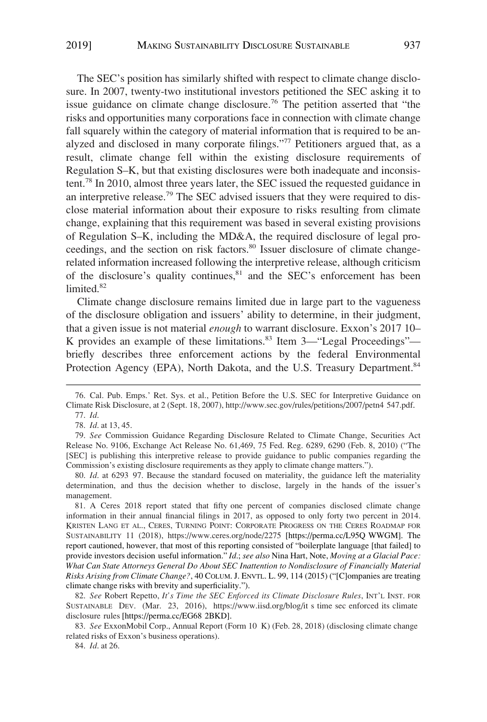The SEC's position has similarly shifted with respect to climate change disclosure. In 2007, twenty-two institutional investors petitioned the SEC asking it to issue guidance on climate change disclosure.<sup>76</sup> The petition asserted that "the risks and opportunities many corporations face in connection with climate change fall squarely within the category of material information that is required to be analyzed and disclosed in many corporate filings."77 Petitioners argued that, as a result, climate change fell within the existing disclosure requirements of Regulation S–K, but that existing disclosures were both inadequate and inconsistent.78 In 2010, almost three years later, the SEC issued the requested guidance in an interpretive release.<sup>79</sup> The SEC advised issuers that they were required to disclose material information about their exposure to risks resulting from climate change, explaining that this requirement was based in several existing provisions of Regulation S–K, including the MD&A, the required disclosure of legal proceedings, and the section on risk factors.<sup>80</sup> Issuer disclosure of climate changerelated information increased following the interpretive release, although criticism of the disclosure's quality continues,<sup>81</sup> and the SEC's enforcement has been limited.<sup>82</sup>

Climate change disclosure remains limited due in large part to the vagueness of the disclosure obligation and issuers' ability to determine, in their judgment, that a given issue is not material *enough* to warrant disclosure. Exxon's 2017 10– K provides an example of these limitations.<sup>83</sup> Item 3—"Legal Proceedings" briefly describes three enforcement actions by the federal Environmental Protection Agency (EPA), North Dakota, and the U.S. Treasury Department.<sup>84</sup>

A Ceres 2018 report stated that fifty one percent of companies disclosed climate change 81. information in their annual financial filings in 2017, as opposed to only forty two percent in 2014. KRISTEN LANG ET AL., CERES, TURNING POINT: CORPORATE PROGRESS ON THE CERES ROADMAP FOR SUSTAINABILITY 11 (2018), https://www.ceres.org/node/2275 [https://perma.cc/L95Q WWGM]. The report cautioned, however, that most of this reporting consisted of "boilerplate language [that failed] to provide investors decision useful information." *Id*.; *see also* Nina Hart, Note, *Moving at a Glacial Pace: What Can State Attorneys General Do About SEC Inattention to Nondisclosure of Financially Material Risks Arising from Climate Change?*, 40 COLUM. J. ENVTL. L. 99, 114 (2015) ("[C]ompanies are treating climate change risks with brevity and superficiality.").

82. See Robert Repetto, It's Time the SEC Enforced its Climate Disclosure Rules, INT'L INST. FOR SUSTAINABLE DEV. (Mar. 23, 2016), https://www.iisd.org/blog/it s time sec enforced its climate disclosure rules [https://perma.cc/EG68 2BKD].

83. *See* ExxonMobil Corp., Annual Report (Form 10 K) (Feb. 28, 2018) (disclosing climate change related risks of Exxon's business operations).

84. *Id*. at 26.

<sup>76.</sup> Cal. Pub. Emps.' Ret. Sys. et al., Petition Before the U.S. SEC for Interpretive Guidance on Climate Risk Disclosure, at 2 (Sept. 18, 2007), http://www.sec.gov/rules/petitions/2007/petn4 547.pdf.

<sup>77.</sup> *Id*.

<sup>78.</sup> *Id*. at 13, 45.

<sup>79.</sup> *See* Commission Guidance Regarding Disclosure Related to Climate Change, Securities Act Release No. 9106, Exchange Act Release No. 61,469, 75 Fed. Reg. 6289, 6290 (Feb. 8, 2010) ("The [SEC] is publishing this interpretive release to provide guidance to public companies regarding the Commission's existing disclosure requirements as they apply to climate change matters.").

<sup>80.</sup> *Id*. at 6293 97. Because the standard focused on materiality, the guidance left the materiality determination, and thus the decision whether to disclose, largely in the hands of the issuer's management.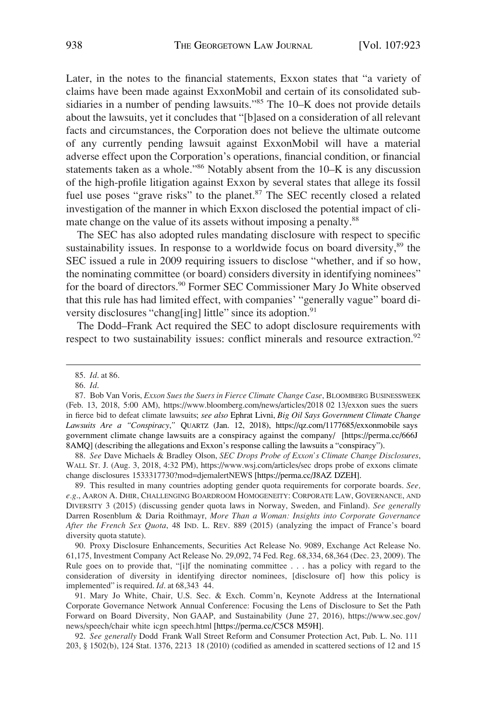Later, in the notes to the financial statements, Exxon states that "a variety of claims have been made against ExxonMobil and certain of its consolidated subsidiaries in a number of pending lawsuits."85 The 10–K does not provide details about the lawsuits, yet it concludes that "[b]ased on a consideration of all relevant facts and circumstances, the Corporation does not believe the ultimate outcome of any currently pending lawsuit against ExxonMobil will have a material adverse effect upon the Corporation's operations, financial condition, or financial statements taken as a whole."86 Notably absent from the 10–K is any discussion of the high-profile litigation against Exxon by several states that allege its fossil fuel use poses "grave risks" to the planet.<sup>87</sup> The SEC recently closed a related investigation of the manner in which Exxon disclosed the potential impact of climate change on the value of its assets without imposing a penalty.<sup>88</sup>

The SEC has also adopted rules mandating disclosure with respect to specific sustainability issues. In response to a worldwide focus on board diversity,<sup>89</sup> the SEC issued a rule in 2009 requiring issuers to disclose "whether, and if so how, the nominating committee (or board) considers diversity in identifying nominees" for the board of directors.<sup>90</sup> Former SEC Commissioner Mary Jo White observed that this rule has had limited effect, with companies' "generally vague" board diversity disclosures "chang[ing] little" since its adoption.<sup>91</sup>

The Dodd–Frank Act required the SEC to adopt disclosure requirements with respect to two sustainability issues: conflict minerals and resource extraction.<sup>92</sup>

*See* Dave Michaels & Bradley Olson, *SEC Drops Probe of Exxon's Climate Change Disclosures*, 88. WALL ST. J. (Aug. 3, 2018, 4:32 PM), https://www.wsj.com/articles/sec drops probe of exxons climate change disclosures 1533317730?mod=djemalertNEWS [https://perma.cc/J8AZ DZEH].

89. This resulted in many countries adopting gender quota requirements for corporate boards. *See, e.g*., AARON A. DHIR, CHALLENGING BOARDROOM HOMOGENEITY: CORPORATE LAW, GOVERNANCE, AND DIVERSITY 3 (2015) (discussing gender quota laws in Norway, Sweden, and Finland). *See generally*  Darren Rosenblum & Daria Roithmayr, *More Than a Woman: Insights into Corporate Governance After the French Sex Quota*, 48 IND. L. REV. 889 (2015) (analyzing the impact of France's board diversity quota statute).

90. Proxy Disclosure Enhancements, Securities Act Release No. 9089, Exchange Act Release No. 61,175, Investment Company Act Release No. 29,092, 74 Fed. Reg. 68,334, 68,364 (Dec. 23, 2009). The Rule goes on to provide that, "[i]f the nominating committee . . . has a policy with regard to the consideration of diversity in identifying director nominees, [disclosure of] how this policy is implemented" is required. *Id*. at 68,343 44.

91. Mary Jo White, Chair, U.S. Sec. & Exch. Comm'n, Keynote Address at the International Corporate Governance Network Annual Conference: Focusing the Lens of Disclosure to Set the Path Forward on Board Diversity, Non GAAP, and Sustainability (June 27, 2016), https://www.sec.gov/ news/speech/chair white icgn speech.html [https://perma.cc/C5C8 M59H].

92. *See generally* Dodd Frank Wall Street Reform and Consumer Protection Act, Pub. L. No. 111 203, § 1502(b), 124 Stat. 1376, 2213 18 (2010) (codified as amended in scattered sections of 12 and 15

<sup>85.</sup> *Id*. at 86.

<sup>86.</sup> *Id*.

<sup>87.</sup> Bob Van Voris, *Exxon Sues the Suers in Fierce Climate Change Case*, BLOOMBERG BUSINESSWEEK (Feb. 13, 2018, 5:00 AM), https://www.bloomberg.com/news/articles/2018 02 13/exxon sues the suers in fierce bid to defeat climate lawsuits; *see also* Ephrat Livni, *Big Oil Says Government Climate Change Lawsuits Are a "Conspiracy*,*"* QUARTZ (Jan. 12, 2018), https://qz.com/1177685/exxonmobile says government climate change lawsuits are a conspiracy against the company/ [https://perma.cc/666J 8AMQ] (describing the allegations and Exxon's response calling the lawsuits a "conspiracy").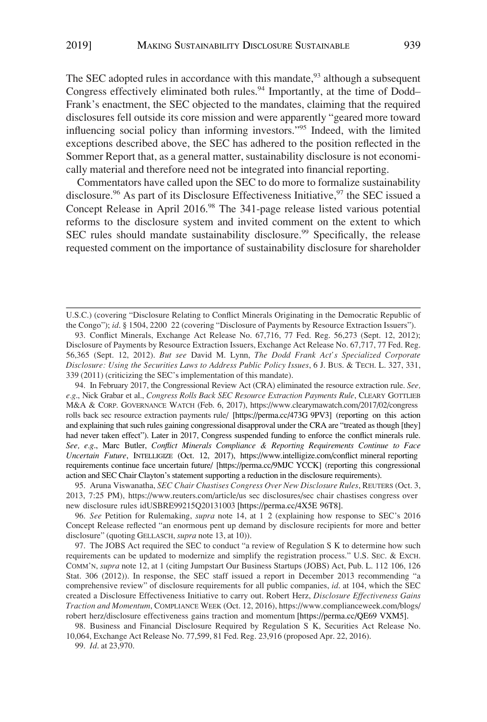The SEC adopted rules in accordance with this mandate,  $93$  although a subsequent Congress effectively eliminated both rules.<sup>94</sup> Importantly, at the time of Dodd-Frank's enactment, the SEC objected to the mandates, claiming that the required disclosures fell outside its core mission and were apparently "geared more toward influencing social policy than informing investors."95 Indeed, with the limited exceptions described above, the SEC has adhered to the position reflected in the Sommer Report that, as a general matter, sustainability disclosure is not economically material and therefore need not be integrated into financial reporting.

Commentators have called upon the SEC to do more to formalize sustainability disclosure.<sup>96</sup> As part of its Disclosure Effectiveness Initiative,<sup>97</sup> the SEC issued a Concept Release in April 2016.<sup>98</sup> The 341-page release listed various potential reforms to the disclosure system and invited comment on the extent to which SEC rules should mandate sustainability disclosure.<sup>99</sup> Specifically, the release requested comment on the importance of sustainability disclosure for shareholder

99. *Id*. at 23,970.

U.S.C.) (covering "Disclosure Relating to Conflict Minerals Originating in the Democratic Republic of the Congo"); *id*. § 1504, 2200 22 (covering "Disclosure of Payments by Resource Extraction Issuers").

<sup>93.</sup> Conflict Minerals, Exchange Act Release No. 67,716, 77 Fed. Reg. 56,273 (Sept. 12, 2012); Disclosure of Payments by Resource Extraction Issuers, Exchange Act Release No. 67,717, 77 Fed. Reg. 56,365 (Sept. 12, 2012). *But see* David M. Lynn, *The Dodd Frank Act's Specialized Corporate Disclosure: Using the Securities Laws to Address Public Policy Issues*, 6 J. BUS. & TECH. L. 327, 331, 339 (2011) (criticizing the SEC's implementation of this mandate).

<sup>94.</sup> In February 2017, the Congressional Review Act (CRA) eliminated the resource extraction rule. *See*, *e.g*., Nick Grabar et al., *Congress Rolls Back SEC Resource Extraction Payments Rule*, CLEARY GOTTLIEB M&A & CORP. GOVERNANCE WATCH (Feb. 6, 2017), https://www.clearymawatch.com/2017/02/congress rolls back sec resource extraction payments rule/ [https://perma.cc/473G 9PV3] (reporting on this action and explaining that such rules gaining congressional disapproval under the CRA are "treated as though [they] had never taken effect"). Later in 2017, Congress suspended funding to enforce the conflict minerals rule. *See, e.g*., Marc Butler, *Conflict Minerals Compliance & Reporting Requirements Continue to Face Uncertain Future*, INTELLIGIZE (Oct. 12, 2017), https://www.intelligize.com/conflict mineral reporting requirements continue face uncertain future/ [https://perma.cc/9MJC YCCK] (reporting this congressional action and SEC Chair Clayton's statement supporting a reduction in the disclosure requirements).

<sup>95.</sup> Aruna Viswanatha, *SEC Chair Chastises Congress Over New Disclosure Rules*, REUTERS (Oct. 3, 2013, 7:25 PM), https://www.reuters.com/article/us sec disclosures/sec chair chastises congress over new disclosure rules idUSBRE99215Q20131003 [https://perma.cc/4X5E 96T8].

<sup>96.</sup> *See* Petition for Rulemaking, *supra* note 14, at 1 2 (explaining how response to SEC's 2016 Concept Release reflected "an enormous pent up demand by disclosure recipients for more and better disclosure" (quoting GELLASCH, *supra* note 13, at 10)).

<sup>97.</sup> The JOBS Act required the SEC to conduct "a review of Regulation S K to determine how such requirements can be updated to modernize and simplify the registration process." U.S. SEC. & EXCH. COMM'N, *supra* note 12, at 1 (citing Jumpstart Our Business Startups (JOBS) Act, Pub. L. 112 106, 126 Stat. 306 (2012)). In response, the SEC staff issued a report in December 2013 recommending "a comprehensive review" of disclosure requirements for all public companies, *id*. at 104, which the SEC created a Disclosure Effectiveness Initiative to carry out. Robert Herz, *Disclosure Effectiveness Gains Traction and Momentum*, COMPLIANCE WEEK (Oct. 12, 2016), https://www.complianceweek.com/blogs/ robert herz/disclosure effectiveness gains traction and momentum [https://perma.cc/QE69 VXM5].

<sup>98.</sup> Business and Financial Disclosure Required by Regulation S K, Securities Act Release No. 10,064, Exchange Act Release No. 77,599, 81 Fed. Reg. 23,916 (proposed Apr. 22, 2016).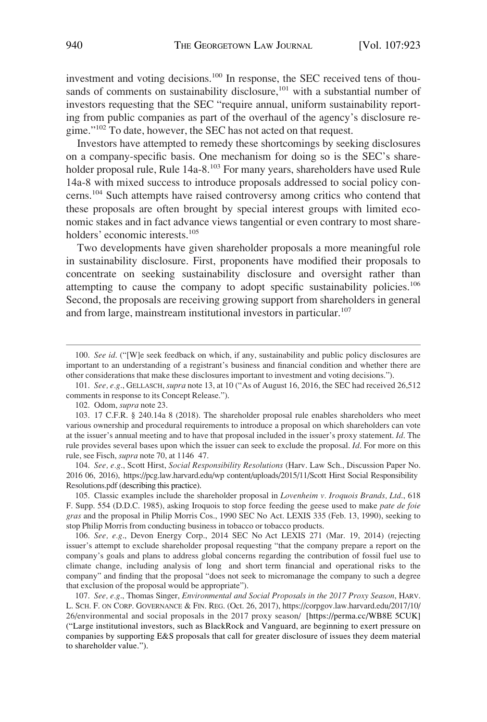investment and voting decisions.100 In response, the SEC received tens of thousands of comments on sustainability disclosure, $101$  with a substantial number of investors requesting that the SEC "require annual, uniform sustainability reporting from public companies as part of the overhaul of the agency's disclosure regime."<sup>102</sup> To date, however, the SEC has not acted on that request.

Investors have attempted to remedy these shortcomings by seeking disclosures on a company-specific basis. One mechanism for doing so is the SEC's shareholder proposal rule, Rule 14a-8.<sup>103</sup> For many years, shareholders have used Rule 14a-8 with mixed success to introduce proposals addressed to social policy concerns.<sup>104</sup> Such attempts have raised controversy among critics who contend that these proposals are often brought by special interest groups with limited economic stakes and in fact advance views tangential or even contrary to most shareholders' economic interests.<sup>105</sup>

Two developments have given shareholder proposals a more meaningful role in sustainability disclosure. First, proponents have modified their proposals to concentrate on seeking sustainability disclosure and oversight rather than attempting to cause the company to adopt specific sustainability policies.<sup>106</sup> Second, the proposals are receiving growing support from shareholders in general and from large, mainstream institutional investors in particular.<sup>107</sup>

104. See, e.g., Scott Hirst, Social Responsibility Resolutions (Harv. Law Sch., Discussion Paper No. 2016 06, 2016), https://pcg.law.harvard.edu/wp content/uploads/2015/11/Scott Hirst Social Responsibility Resolutions.pdf (describing this practice).

105. Classic examples include the shareholder proposal in *Lovenheim v. Iroquois Brands, Ltd*., 618 F. Supp. 554 (D.D.C. 1985), asking Iroquois to stop force feeding the geese used to make *pate de foie gras* and the proposal in Philip Morris Cos., 1990 SEC No Act. LEXIS 335 (Feb. 13, 1990), seeking to stop Philip Morris from conducting business in tobacco or tobacco products.

106. *See, e.g*., Devon Energy Corp., 2014 SEC No Act LEXIS 271 (Mar. 19, 2014) (rejecting issuer's attempt to exclude shareholder proposal requesting "that the company prepare a report on the company's goals and plans to address global concerns regarding the contribution of fossil fuel use to climate change, including analysis of long and short term financial and operational risks to the company" and finding that the proposal "does not seek to micromanage the company to such a degree that exclusion of the proposal would be appropriate").

<sup>100.</sup> *See id*. ("[W]e seek feedback on which, if any, sustainability and public policy disclosures are important to an understanding of a registrant's business and financial condition and whether there are other considerations that make these disclosures important to investment and voting decisions.").

<sup>101.</sup> *See, e.g*., GELLASCH, *supra* note 13, at 10 ("As of August 16, 2016, the SEC had received 26,512 comments in response to its Concept Release.").

<sup>102.</sup> Odom, *supra* note 23.

<sup>103. 17</sup> C.F.R. § 240.14a 8 (2018). The shareholder proposal rule enables shareholders who meet various ownership and procedural requirements to introduce a proposal on which shareholders can vote at the issuer's annual meeting and to have that proposal included in the issuer's proxy statement. *Id*. The rule provides several bases upon which the issuer can seek to exclude the proposal. *Id*. For more on this rule, see Fisch, *supra* note 70, at 1146 47.

<sup>107.</sup>  *See, e.g*., Thomas Singer, *Environmental and Social Proposals in the 2017 Proxy Season*, HARV. L. SCH. F. ON CORP. GOVERNANCE & FIN. REG. (Oct. 26, 2017), https://corpgov.law.harvard.edu/2017/10/ 26/environmental and social proposals in the 2017 proxy season/ [https://perma.cc/WB8E 5CUK] ("Large institutional investors, such as BlackRock and Vanguard, are beginning to exert pressure on companies by supporting E&S proposals that call for greater disclosure of issues they deem material to shareholder value.").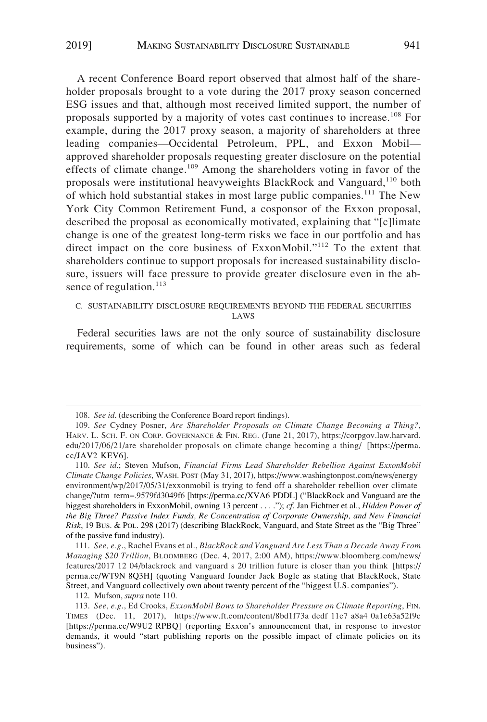A recent Conference Board report observed that almost half of the shareholder proposals brought to a vote during the 2017 proxy season concerned ESG issues and that, although most received limited support, the number of proposals supported by a majority of votes cast continues to increase.108 For example, during the 2017 proxy season, a majority of shareholders at three leading companies—Occidental Petroleum, PPL, and Exxon Mobil approved shareholder proposals requesting greater disclosure on the potential effects of climate change.<sup>109</sup> Among the shareholders voting in favor of the proposals were institutional heavyweights BlackRock and Vanguard,<sup>110</sup> both of which hold substantial stakes in most large public companies.<sup>111</sup> The New York City Common Retirement Fund, a cosponsor of the Exxon proposal, described the proposal as economically motivated, explaining that "[c]limate change is one of the greatest long-term risks we face in our portfolio and has direct impact on the core business of ExxonMobil."112 To the extent that shareholders continue to support proposals for increased sustainability disclosure, issuers will face pressure to provide greater disclosure even in the absence of regulation. $^{113}$ 

# C. SUSTAINABILITY DISCLOSURE REQUIREMENTS BEYOND THE FEDERAL SECURITIES LAWS

Federal securities laws are not the only source of sustainability disclosure requirements, some of which can be found in other areas such as federal

112. Mufson, *supra* note 110.

<sup>108.</sup> *See id*. (describing the Conference Board report findings).

*See* Cydney Posner, *Are Shareholder Proposals on Climate Change Becoming a Thing?*, 109. HARV. L. SCH. F. ON CORP. GOVERNANCE & FIN. REG. (June 21, 2017), https://corpgov.law.harvard. edu/2017/06/21/are shareholder proposals on climate change becoming a thing/ [https://perma. cc/JAV2 KEV6].

*See id*.; Steven Mufson, *Financial Firms Lead Shareholder Rebellion Against ExxonMobil*  110. *Climate Change Policies*, WASH. POST (May 31, 2017), https://www.washingtonpost.com/news/energy environment/wp/2017/05/31/exxonmobil is trying to fend off a shareholder rebellion over climate change/?utm term=.9579fd3049f6 [https://perma.cc/XVA6 PDDL] ("BlackRock and Vanguard are the biggest shareholders in ExxonMobil, owning 13 percent . . . ."); *cf*. Jan Fichtner et al., *Hidden Power of the Big Three? Passive Index Funds, Re Concentration of Corporate Ownership, and New Financial Risk*, 19 BUS. & POL. 298 (2017) (describing BlackRock, Vanguard, and State Street as the "Big Three" of the passive fund industry).

*See, e.g*., Rachel Evans et al., *BlackRock and Vanguard Are Less Than a Decade Away From*  111. *Managing \$20 Trillion*, BLOOMBERG (Dec. 4, 2017, 2:00 AM), https://www.bloomberg.com/news/ features/2017 12 04/blackrock and vanguard s 20 trillion future is closer than you think [https:// perma.cc/WT9N 8Q3H] (quoting Vanguard founder Jack Bogle as stating that BlackRock, State Street, and Vanguard collectively own about twenty percent of the "biggest U.S. companies").

*See, e.g*., Ed Crooks, *ExxonMobil Bows to Shareholder Pressure on Climate Reporting*, FIN. 113. TIMES (Dec. 11, 2017), https://www.ft.com/content/8bd1f73a dedf 11e7 a8a4 0a1e63a52f9c [https://perma.cc/W9U2 RPBQ] (reporting Exxon's announcement that, in response to investor demands, it would "start publishing reports on the possible impact of climate policies on its business").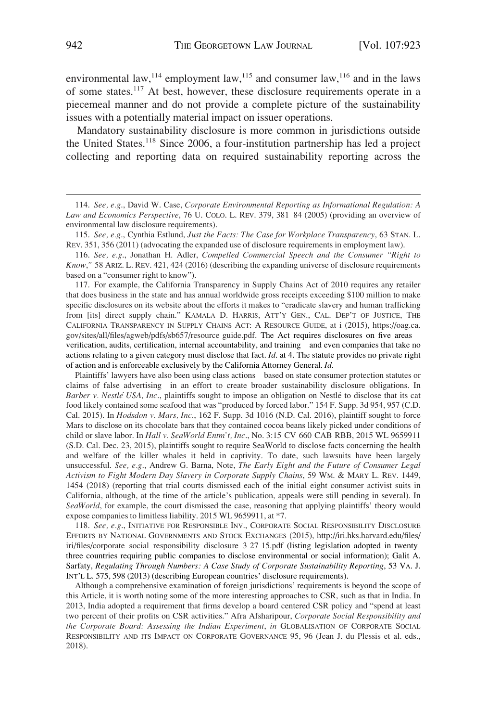environmental law,<sup>114</sup> employment law,<sup>115</sup> and consumer law,<sup>116</sup> and in the laws of some states.<sup>117</sup> At best, however, these disclosure requirements operate in a piecemeal manner and do not provide a complete picture of the sustainability issues with a potentially material impact on issuer operations.

Mandatory sustainability disclosure is more common in jurisdictions outside the United States.<sup>118</sup> Since 2006, a four-institution partnership has led a project collecting and reporting data on required sustainability reporting across the

117. For example, the California Transparency in Supply Chains Act of 2010 requires any retailer that does business in the state and has annual worldwide gross receipts exceeding \$100 million to make specific disclosures on its website about the efforts it makes to "eradicate slavery and human trafficking from [its] direct supply chain." KAMALA D. HARRIS, ATT'Y GEN., CAL. DEP'T OF JUSTICE, THE CALIFORNIA TRANSPARENCY IN SUPPLY CHAINS ACT: A RESOURCE GUIDE, at i (2015), https://oag.ca. gov/sites/all/files/agweb/pdfs/sb657/resource guide.pdf. The Act requires disclosures on five areas verification, audits, certification, internal accountability, and training and even companies that take no actions relating to a given category must disclose that fact. *Id*. at 4. The statute provides no private right of action and is enforceable exclusively by the California Attorney General. *Id*.

Plaintiffs' lawyers have also been using class actions based on state consumer protection statutes or claims of false advertising in an effort to create broader sustainability disclosure obligations. In *Barber v. Nestle´ USA, Inc*., plaintiffs sought to impose an obligation on Nestle´ to disclose that its cat food likely contained some seafood that was "produced by forced labor." 154 F. Supp. 3d 954, 957 (C.D. Cal. 2015). In *Hodsdon v. Mars, Inc*., 162 F. Supp. 3d 1016 (N.D. Cal. 2016), plaintiff sought to force Mars to disclose on its chocolate bars that they contained cocoa beans likely picked under conditions of child or slave labor. In *Hall v. SeaWorld Entm't, Inc*., No. 3:15 CV 660 CAB RBB, 2015 WL 9659911 (S.D. Cal. Dec. 23, 2015), plaintiffs sought to require SeaWorld to disclose facts concerning the health and welfare of the killer whales it held in captivity. To date, such lawsuits have been largely unsuccessful. *See, e.g*., Andrew G. Barna, Note, *The Early Eight and the Future of Consumer Legal Activism to Fight Modern Day Slavery in Corporate Supply Chains*, 59 WM. & MARY L. REV. 1449, 1454 (2018) (reporting that trial courts dismissed each of the initial eight consumer activist suits in California, although, at the time of the article's publication, appeals were still pending in several). In *SeaWorld*, for example, the court dismissed the case, reasoning that applying plaintiffs' theory would expose companies to limitless liability. 2015 WL 9659911, at \*7.

118. See, e.g., INITIATIVE FOR RESPONSIBLE INV., CORPORATE SOCIAL RESPONSIBILITY DISCLOSURE EFFORTS BY NATIONAL GOVERNMENTS AND STOCK EXCHANGES (2015), http://iri.hks.harvard.edu/files/ iri/files/corporate social responsibility disclosure 3 27 15.pdf (listing legislation adopted in twenty three countries requiring public companies to disclose environmental or social information); Galit A. Sarfaty, *Regulating Through Numbers: A Case Study of Corporate Sustainability Reporting*, 53 VA. J. INT'L L. 575, 598 (2013) (describing European countries' disclosure requirements).

Although a comprehensive examination of foreign jurisdictions' requirements is beyond the scope of this Article, it is worth noting some of the more interesting approaches to CSR, such as that in India. In 2013, India adopted a requirement that firms develop a board centered CSR policy and "spend at least two percent of their profits on CSR activities." Afra Afsharipour, *Corporate Social Responsibility and the Corporate Board: Assessing the Indian Experiment*, *in* GLOBALISATION OF CORPORATE SOCIAL RESPONSIBILITY AND ITS IMPACT ON CORPORATE GOVERNANCE 95, 96 (Jean J. du Plessis et al. eds., 2018).

<sup>114.</sup> *See, e.g*., David W. Case, *Corporate Environmental Reporting as Informational Regulation: A Law and Economics Perspective*, 76 U. COLO. L. REV. 379, 381 84 (2005) (providing an overview of environmental law disclosure requirements).

<sup>115.</sup> *See, e.g*., Cynthia Estlund, *Just the Facts: The Case for Workplace Transparency*, 63 STAN. L. REV. 351, 356 (2011) (advocating the expanded use of disclosure requirements in employment law).

<sup>116.</sup> *See, e.g*., Jonathan H. Adler, *Compelled Commercial Speech and the Consumer "Right to Know*,*"* 58 ARIZ. L. REV. 421, 424 (2016) (describing the expanding universe of disclosure requirements based on a "consumer right to know").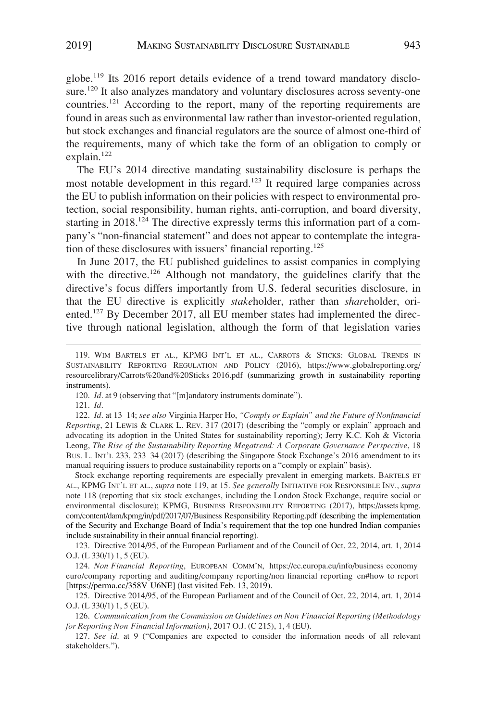globe.<sup>119</sup> Its 2016 report details evidence of a trend toward mandatory disclosure.<sup>120</sup> It also analyzes mandatory and voluntary disclosures across seventy-one countries.121 According to the report, many of the reporting requirements are found in areas such as environmental law rather than investor-oriented regulation, but stock exchanges and financial regulators are the source of almost one-third of the requirements, many of which take the form of an obligation to comply or explain.<sup>122</sup>

The EU's 2014 directive mandating sustainability disclosure is perhaps the most notable development in this regard.<sup>123</sup> It required large companies across the EU to publish information on their policies with respect to environmental protection, social responsibility, human rights, anti-corruption, and board diversity, starting in 2018.<sup>124</sup> The directive expressly terms this information part of a company's "non-financial statement" and does not appear to contemplate the integration of these disclosures with issuers' financial reporting.125

In June 2017, the EU published guidelines to assist companies in complying with the directive.<sup>126</sup> Although not mandatory, the guidelines clarify that the directive's focus differs importantly from U.S. federal securities disclosure, in that the EU directive is explicitly *stake*holder, rather than *share*holder, oriented.127 By December 2017, all EU member states had implemented the directive through national legislation, although the form of that legislation varies

Stock exchange reporting requirements are especially prevalent in emerging markets. BARTELS ET AL., KPMG INT'L ET AL., *supra* note 119, at 15. *See generally* INITIATIVE FOR RESPONSIBLE INV., *supra*  note 118 (reporting that six stock exchanges, including the London Stock Exchange, require social or environmental disclosure); KPMG, BUSINESS RESPONSIBILITY REPORTING (2017), https://assets kpmg. com/content/dam/kpmg/in/pdf/2017/07/Business Responsibility Reporting.pdf (describing the implementation of the Security and Exchange Board of India's requirement that the top one hundred Indian companies include sustainability in their annual financial reporting).

123. Directive 2014/95, of the European Parliament and of the Council of Oct. 22, 2014, art. 1, 2014 O.J. (L 330/1) 1, 5 (EU).

124. Non Financial Reporting, EUROPEAN COMM'N, https://ec.europa.eu/info/business economy euro/company reporting and auditing/company reporting/non financial reporting en#how to report [https://perma.cc/358V U6NE] (last visited Feb. 13, 2019).

125. Directive 2014/95, of the European Parliament and of the Council of Oct. 22, 2014, art. 1, 2014 O.J. (L 330/1) 1, 5 (EU).

<sup>119.</sup> WIM BARTELS ET AL., KPMG INT'L ET AL., CARROTS & STICKS: GLOBAL TRENDS IN SUSTAINABILITY REPORTING REGULATION AND POLICY (2016), https://www.globalreporting.org/ resourcelibrary/Carrots%20and%20Sticks 2016.pdf (summarizing growth in sustainability reporting instruments).

<sup>120.</sup> *Id*. at 9 (observing that "[m]andatory instruments dominate").

<sup>121.</sup> *Id*.

*Id*. at 13 14; *see also* Virginia Harper Ho, *"Comply or Explain" and the Future of Nonfinancial*  122. *Reporting*, 21 LEWIS & CLARK L. REV. 317 (2017) (describing the "comply or explain" approach and advocating its adoption in the United States for sustainability reporting); Jerry K.C. Koh & Victoria Leong, *The Rise of the Sustainability Reporting Megatrend: A Corporate Governance Perspective*, 18 BUS. L. INT'L 233, 233 34 (2017) (describing the Singapore Stock Exchange's 2016 amendment to its manual requiring issuers to produce sustainability reports on a "comply or explain" basis).

<sup>126.</sup> *Communication from the Commission on Guidelines on Non Financial Reporting (Methodology for Reporting Non Financial Information)*, 2017 O.J. (C 215), 1, 4 (EU).

<sup>127.</sup> *See id*. at 9 ("Companies are expected to consider the information needs of all relevant stakeholders.").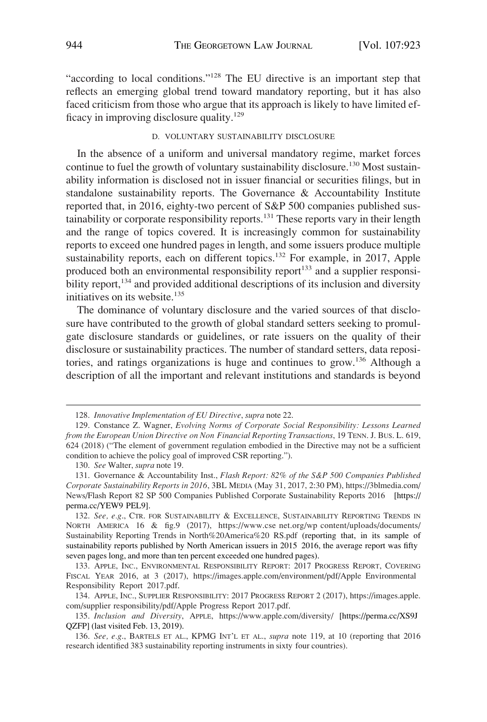"according to local conditions."<sup>128</sup> The EU directive is an important step that reflects an emerging global trend toward mandatory reporting, but it has also faced criticism from those who argue that its approach is likely to have limited efficacy in improving disclosure quality.129

## D. VOLUNTARY SUSTAINABILITY DISCLOSURE

In the absence of a uniform and universal mandatory regime, market forces continue to fuel the growth of voluntary sustainability disclosure.<sup>130</sup> Most sustainability information is disclosed not in issuer financial or securities filings, but in standalone sustainability reports. The Governance & Accountability Institute reported that, in 2016, eighty-two percent of S&P 500 companies published sustainability or corporate responsibility reports.<sup>131</sup> These reports vary in their length and the range of topics covered. It is increasingly common for sustainability reports to exceed one hundred pages in length, and some issuers produce multiple sustainability reports, each on different topics.<sup>132</sup> For example, in 2017, Apple produced both an environmental responsibility report<sup>133</sup> and a supplier responsibility report,<sup>134</sup> and provided additional descriptions of its inclusion and diversity initiatives on its website. $135$ 

The dominance of voluntary disclosure and the varied sources of that disclosure have contributed to the growth of global standard setters seeking to promulgate disclosure standards or guidelines, or rate issuers on the quality of their disclosure or sustainability practices. The number of standard setters, data repositories, and ratings organizations is huge and continues to grow.136 Although a description of all the important and relevant institutions and standards is beyond

130. *See* Walter, *supra* note 19.

<sup>128.</sup> *Innovative Implementation of EU Directive*, *supra* note 22.

<sup>129.</sup> Constance Z. Wagner, *Evolving Norms of Corporate Social Responsibility: Lessons Learned from the European Union Directive on Non Financial Reporting Transactions*, 19 TENN. J. BUS. L. 619, 624 (2018) ("The element of government regulation embodied in the Directive may not be a sufficient condition to achieve the policy goal of improved CSR reporting.").

<sup>131.</sup> Governance & Accountability Inst., *Flash Report: 82% of the S&P 500 Companies Published Corporate Sustainability Reports in 2016*, 3BL MEDIA (May 31, 2017, 2:30 PM), https://3blmedia.com/ News/Flash Report 82 SP 500 Companies Published Corporate Sustainability Reports 2016 [https:// perma.cc/YEW9 PEL9].

<sup>132.</sup> See, e.g., CTR. FOR SUSTAINABILITY & EXCELLENCE, SUSTAINABILITY REPORTING TRENDS IN NORTH AMERICA 16 & fig.9 (2017), https://www.cse net.org/wp content/uploads/documents/ Sustainability Reporting Trends in North%20America%20 RS.pdf (reporting that, in its sample of sustainability reports published by North American issuers in 2015 2016, the average report was fifty seven pages long, and more than ten percent exceeded one hundred pages).

<sup>133.</sup> APPLE, INC., ENVIRONMENTAL RESPONSIBILITY REPORT: 2017 PROGRESS REPORT, COVERING FISCAL YEAR 2016, at 3 (2017), https://images.apple.com/environment/pdf/Apple Environmental Responsibility Report 2017.pdf.

APPLE, INC., SUPPLIER RESPONSIBILITY: 2017 PROGRESS REPORT 2 (2017), https://images.apple. 134. com/supplier responsibility/pdf/Apple Progress Report 2017.pdf.

*Inclusion and Diversity*, APPLE, https://www.apple.com/diversity/ [https://perma.cc/XS9J 135. QZFP] (last visited Feb. 13, 2019).

<sup>136.</sup> *See, e.g*., BARTELS ET AL., KPMG INT'L ET AL., *supra* note 119, at 10 (reporting that 2016 research identified 383 sustainability reporting instruments in sixty four countries).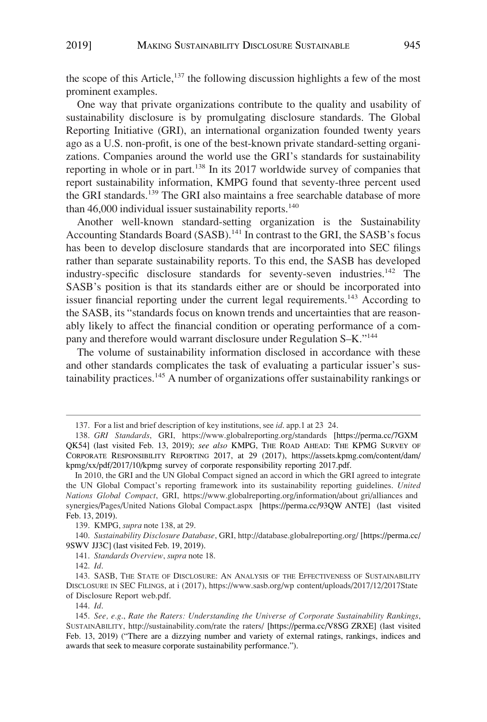the scope of this Article,<sup>137</sup> the following discussion highlights a few of the most prominent examples.

One way that private organizations contribute to the quality and usability of sustainability disclosure is by promulgating disclosure standards. The Global Reporting Initiative (GRI), an international organization founded twenty years ago as a U.S. non-profit, is one of the best-known private standard-setting organizations. Companies around the world use the GRI's standards for sustainability reporting in whole or in part.<sup>138</sup> In its 2017 worldwide survey of companies that report sustainability information, KMPG found that seventy-three percent used the GRI standards.<sup>139</sup> The GRI also maintains a free searchable database of more than  $46,000$  individual issuer sustainability reports.<sup>140</sup>

Another well-known standard-setting organization is the Sustainability Accounting Standards Board (SASB).<sup>141</sup> In contrast to the GRI, the SASB's focus has been to develop disclosure standards that are incorporated into SEC filings rather than separate sustainability reports. To this end, the SASB has developed industry-specific disclosure standards for seventy-seven industries.<sup>142</sup> The SASB's position is that its standards either are or should be incorporated into issuer financial reporting under the current legal requirements.<sup>143</sup> According to the SASB, its "standards focus on known trends and uncertainties that are reasonably likely to affect the financial condition or operating performance of a company and therefore would warrant disclosure under Regulation S–K."144

The volume of sustainability information disclosed in accordance with these and other standards complicates the task of evaluating a particular issuer's sustainability practices.<sup>145</sup> A number of organizations offer sustainability rankings or

*Sustainability Disclosure Database*, GRI, http://database.globalreporting.org/ [https://perma.cc/ 140. 9SWV JJ3C] (last visited Feb. 19, 2019).

141. *Standards Overview*, *supra* note 18.

144. *Id*.

<sup>137.</sup> For a list and brief description of key institutions, see *id*. app.1 at 23 24.

<sup>138.</sup> GRI Standards, GRI, https://www.globalreporting.org/standards [https://perma.cc/7GXM QK54] (last visited Feb. 13, 2019); *see also* KMPG, THE ROAD AHEAD: THE KPMG SURVEY OF CORPORATE RESPONSIBILITY REPORTING 2017, at 29 (2017), https://assets.kpmg.com/content/dam/ kpmg/xx/pdf/2017/10/kpmg survey of corporate responsibility reporting 2017.pdf.

In 2010, the GRI and the UN Global Compact signed an accord in which the GRI agreed to integrate the UN Global Compact's reporting framework into its sustainability reporting guidelines. *United Nations Global Compact*, GRI, https://www.globalreporting.org/information/about gri/alliances and synergies/Pages/United Nations Global Compact.aspx [https://perma.cc/93QW ANTE] (last visited Feb. 13, 2019).

<sup>139.</sup> KMPG, *supra* note 138, at 29.

<sup>142.</sup> *Id*.

<sup>143.</sup> SASB, THE STATE OF DISCLOSURE: AN ANALYSIS OF THE EFFECTIVENESS OF SUSTAINABILITY DISCLOSURE IN SEC FILINGS, at i (2017), https://www.sasb.org/wp content/uploads/2017/12/2017State of Disclosure Report web.pdf.

*See, e.g*., *Rate the Raters: Understanding the Universe of Corporate Sustainability Rankings*, 145. SUSTAINABILITY, http://sustainability.com/rate the raters/ [https://perma.cc/V8SG ZRXE] (last visited Feb. 13, 2019) ("There are a dizzying number and variety of external ratings, rankings, indices and awards that seek to measure corporate sustainability performance.").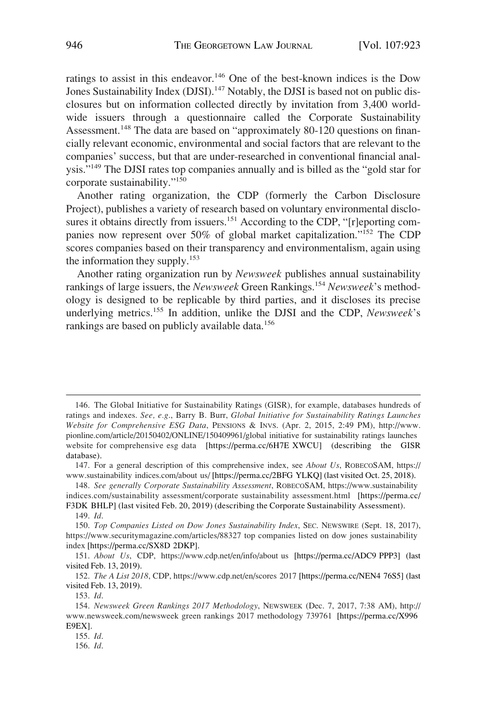ratings to assist in this endeavor.<sup>146</sup> One of the best-known indices is the Dow Jones Sustainability Index (DJSI).<sup>147</sup> Notably, the DJSI is based not on public disclosures but on information collected directly by invitation from 3,400 worldwide issuers through a questionnaire called the Corporate Sustainability Assessment.<sup>148</sup> The data are based on "approximately 80-120 questions on financially relevant economic, environmental and social factors that are relevant to the companies' success, but that are under-researched in conventional financial analysis."149 The DJSI rates top companies annually and is billed as the "gold star for corporate sustainability."150

Another rating organization, the CDP (formerly the Carbon Disclosure Project), publishes a variety of research based on voluntary environmental disclosures it obtains directly from issuers.<sup>151</sup> According to the CDP, "[r]eporting companies now represent over 50% of global market capitalization."<sup>152</sup> The CDP scores companies based on their transparency and environmentalism, again using the information they supply.153

Another rating organization run by *Newsweek* publishes annual sustainability rankings of large issuers, the *Newsweek* Green Rankings.<sup>154</sup> Newsweek's methodology is designed to be replicable by third parties, and it discloses its precise underlying metrics.155 In addition, unlike the DJSI and the CDP, *Newsweek*'s rankings are based on publicly available data.<sup>156</sup>

<sup>146.</sup> The Global Initiative for Sustainability Ratings (GISR), for example, databases hundreds of ratings and indexes. *See, e.g*., Barry B. Burr, *Global Initiative for Sustainability Ratings Launches Website for Comprehensive ESG Data*, PENSIONS & INVS. (Apr. 2, 2015, 2:49 PM), http://www. pionline.com/article/20150402/ONLINE/150409961/global initiative for sustainability ratings launches website for comprehensive esg data [https://perma.cc/6H7E XWCU] (describing the GISR database).

For a general description of this comprehensive index, see *About Us*, ROBECOSAM, https:// 147. www.sustainability indices.com/about us/ [https://perma.cc/2BFG YLKQ] (last visited Oct. 25, 2018).

*See generally Corporate Sustainability Assessment*, ROBECOSAM, https://www.sustainability 148. indices.com/sustainability assessment/corporate sustainability assessment.html [https://perma.cc/ F3DK BHLP] (last visited Feb. 20, 2019) (describing the Corporate Sustainability Assessment).

<sup>149.</sup> *Id*.

*Top Companies Listed on Dow Jones Sustainability Index*, SEC. NEWSWIRE (Sept. 18, 2017), 150. https://www.securitymagazine.com/articles/88327 top companies listed on dow jones sustainability index [https://perma.cc/SX8D 2DKP].

<sup>151.</sup> About Us, CDP, https://www.cdp.net/en/info/about us [https://perma.cc/ADC9 PPP3] (last visited Feb. 13, 2019).

<sup>152.</sup> The A List 2018, CDP, https://www.cdp.net/en/scores 2017 [https://perma.cc/NEN4 76S5] (last visited Feb. 13, 2019).

<sup>153.</sup> *Id*.

*Newsweek Green Rankings 2017 Methodology*, NEWSWEEK (Dec. 7, 2017, 7:38 AM), http:// 154. www.newsweek.com/newsweek green rankings 2017 methodology 739761 [https://perma.cc/X996 E9EX].

<sup>155.</sup> *Id*.

<sup>156.</sup> *Id*.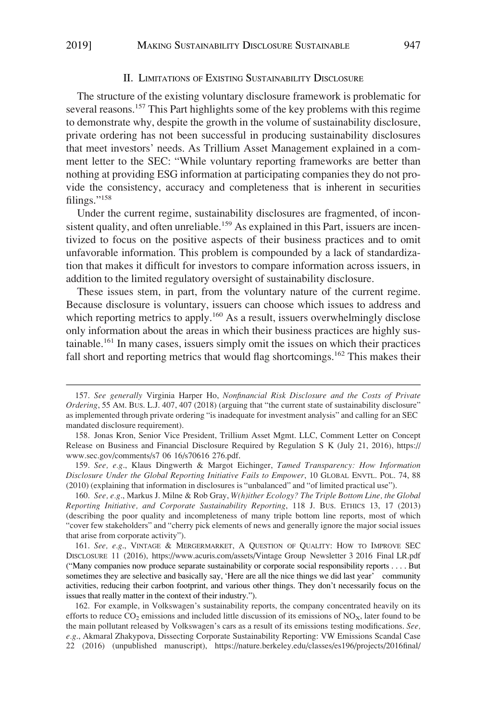# II. LIMITATIONS OF EXISTING SUSTAINABILITY DISCLOSURE

The structure of the existing voluntary disclosure framework is problematic for several reasons.<sup>157</sup> This Part highlights some of the key problems with this regime to demonstrate why, despite the growth in the volume of sustainability disclosure, private ordering has not been successful in producing sustainability disclosures that meet investors' needs. As Trillium Asset Management explained in a comment letter to the SEC: "While voluntary reporting frameworks are better than nothing at providing ESG information at participating companies they do not provide the consistency, accuracy and completeness that is inherent in securities filings."158

Under the current regime, sustainability disclosures are fragmented, of inconsistent quality, and often unreliable.<sup>159</sup> As explained in this Part, issuers are incentivized to focus on the positive aspects of their business practices and to omit unfavorable information. This problem is compounded by a lack of standardization that makes it difficult for investors to compare information across issuers, in addition to the limited regulatory oversight of sustainability disclosure.

These issues stem, in part, from the voluntary nature of the current regime. Because disclosure is voluntary, issuers can choose which issues to address and which reporting metrics to apply.<sup>160</sup> As a result, issuers overwhelmingly disclose only information about the areas in which their business practices are highly sustainable.161 In many cases, issuers simply omit the issues on which their practices fall short and reporting metrics that would flag shortcomings.<sup>162</sup> This makes their

<sup>157.</sup> *See generally* Virginia Harper Ho, *Nonfinancial Risk Disclosure and the Costs of Private Ordering*, 55 AM. BUS. L.J. 407, 407 (2018) (arguing that "the current state of sustainability disclosure" as implemented through private ordering "is inadequate for investment analysis" and calling for an SEC mandated disclosure requirement).

<sup>158.</sup> Jonas Kron, Senior Vice President, Trillium Asset Mgmt. LLC, Comment Letter on Concept Release on Business and Financial Disclosure Required by Regulation S K (July 21, 2016), https:// www.sec.gov/comments/s7 06 16/s70616 276.pdf.

<sup>159.</sup> *See, e.g*., Klaus Dingwerth & Margot Eichinger, *Tamed Transparency: How Information Disclosure Under the Global Reporting Initiative Fails to Empower*, 10 GLOBAL ENVTL. POL. 74, 88 (2010) (explaining that information in disclosures is "unbalanced" and "of limited practical use").

<sup>160.</sup> *See, e.g*., Markus J. Milne & Rob Gray, *W(h)ither Ecology? The Triple Bottom Line, the Global Reporting Initiative, and Corporate Sustainability Reporting*, 118 J. BUS. ETHICS 13, 17 (2013) (describing the poor quality and incompleteness of many triple bottom line reports, most of which "cover few stakeholders" and "cherry pick elements of news and generally ignore the major social issues that arise from corporate activity").

<sup>161.</sup> See, e.g., VINTAGE & MERGERMARKET, A QUESTION OF QUALITY: HOW TO IMPROVE SEC DISCLOSURE 11 (2016), https://www.acuris.com/assets/Vintage Group Newsletter 3 2016 Final LR.pdf ("Many companies now produce separate sustainability or corporate social responsibility reports . . . . But sometimes they are selective and basically say, 'Here are all the nice things we did last year' community activities, reducing their carbon footprint, and various other things. They don't necessarily focus on the issues that really matter in the context of their industry.").

<sup>162.</sup> For example, in Volkswagen's sustainability reports, the company concentrated heavily on its efforts to reduce  $CO_2$  emissions and included little discussion of its emissions of  $NO<sub>x</sub>$ , later found to be the main pollutant released by Volkswagen's cars as a result of its emissions testing modifications. *See, e.g*., Akmaral Zhakypova, Dissecting Corporate Sustainability Reporting: VW Emissions Scandal Case 22 (2016) (unpublished manuscript), https://nature.berkeley.edu/classes/es196/projects/2016final/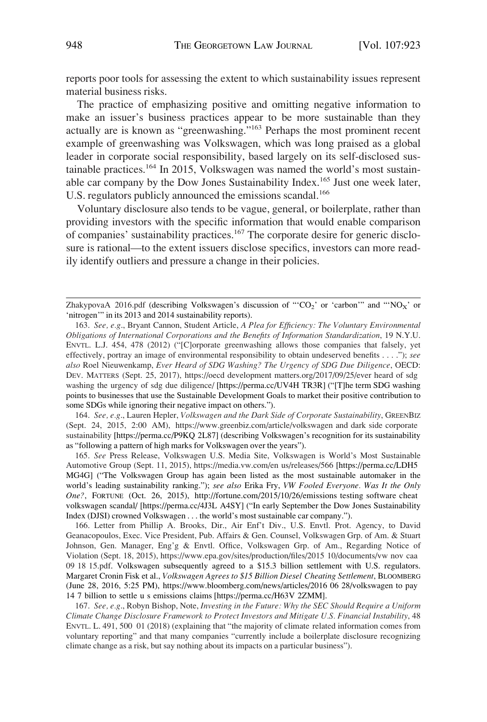reports poor tools for assessing the extent to which sustainability issues represent material business risks.

The practice of emphasizing positive and omitting negative information to make an issuer's business practices appear to be more sustainable than they actually are is known as "greenwashing."163 Perhaps the most prominent recent example of greenwashing was Volkswagen, which was long praised as a global leader in corporate social responsibility, based largely on its self-disclosed sustainable practices.<sup>164</sup> In 2015, Volkswagen was named the world's most sustainable car company by the Dow Jones Sustainability Index.<sup>165</sup> Just one week later, U.S. regulators publicly announced the emissions scandal.<sup>166</sup>

Voluntary disclosure also tends to be vague, general, or boilerplate, rather than providing investors with the specific information that would enable comparison of companies' sustainability practices.<sup>167</sup> The corporate desire for generic disclosure is rational—to the extent issuers disclose specifics, investors can more readily identify outliers and pressure a change in their policies.

*See, e.g*., Lauren Hepler, *Volkswagen and the Dark Side of Corporate Sustainability*, GREENBIZ 164. (Sept. 24, 2015, 2:00 AM), https://www.greenbiz.com/article/volkswagen and dark side corporate sustainability [https://perma.cc/P9KQ 2L87] (describing Volkswagen's recognition for its sustainability as "following a pattern of high marks for Volkswagen over the years").

165. See Press Release, Volkswagen U.S. Media Site, Volkswagen is World's Most Sustainable Automotive Group (Sept. 11, 2015), https://media.vw.com/en us/releases/566 [https://perma.cc/LDH5 MG4G] ("The Volkswagen Group has again been listed as the most sustainable automaker in the world's leading sustainability ranking."); *see also* Erika Fry, *VW Fooled Everyone. Was It the Only One?*, FORTUNE (Oct. 26, 2015), http://fortune.com/2015/10/26/emissions testing software cheat volkswagen scandal/ [https://perma.cc/4J3L A4SY] ("In early September the Dow Jones Sustainability Index (DJSI) crowned Volkswagen . . . the world's most sustainable car company.").

166. Letter from Phillip A. Brooks, Dir., Air Enf't Div., U.S. Envtl. Prot. Agency, to David Geanacopoulos, Exec. Vice President, Pub. Affairs & Gen. Counsel, Volkswagen Grp. of Am. & Stuart Johnson, Gen. Manager, Eng'g & Envtl. Office, Volkswagen Grp. of Am., Regarding Notice of Violation (Sept. 18, 2015), https://www.epa.gov/sites/production/files/2015 10/documents/vw nov caa 09 18 15.pdf. Volkswagen subsequently agreed to a \$15.3 billion settlement with U.S. regulators. Margaret Cronin Fisk et al., *Volkswagen Agrees to \$15 Billion Diesel Cheating Settlement*, BLOOMBERG (June 28, 2016, 5:25 PM), https://www.bloomberg.com/news/articles/2016 06 28/volkswagen to pay 14 7 billion to settle u s emissions claims [https://perma.cc/H63V 2ZMM].

167. *See, e.g*., Robyn Bishop, Note, *Investing in the Future: Why the SEC Should Require a Uniform Climate Change Disclosure Framework to Protect Investors and Mitigate U.S. Financial Instability*, 48 ENVTL. L. 491, 500 01 (2018) (explaining that "the majority of climate related information comes from voluntary reporting" and that many companies "currently include a boilerplate disclosure recognizing climate change as a risk, but say nothing about its impacts on a particular business").

ZhakypovaA 2016.pdf (describing Volkswagen's discussion of "CO<sub>2</sub>' or 'carbon'" and "'NO<sub>X</sub>' or 'nitrogen'" in its 2013 and 2014 sustainability reports).

*See, e.g*., Bryant Cannon, Student Article, *A Plea for Efficiency: The Voluntary Environmental*  163. *Obligations of International Corporations and the Benefits of Information Standardization*, 19 N.Y.U. ENVTL. L.J. 454, 478 (2012) ("[C]orporate greenwashing allows those companies that falsely, yet effectively, portray an image of environmental responsibility to obtain undeserved benefits . . . ."); *see also* Roel Nieuwenkamp, *Ever Heard of SDG Washing? The Urgency of SDG Due Diligence*, OECD: DEV. MATTERS (Sept. 25, 2017), https://oecd development matters.org/2017/09/25/ever heard of sdg washing the urgency of sdg due diligence/ [https://perma.cc/UV4H TR3R] ("[T]he term SDG washing points to businesses that use the Sustainable Development Goals to market their positive contribution to some SDGs while ignoring their negative impact on others.").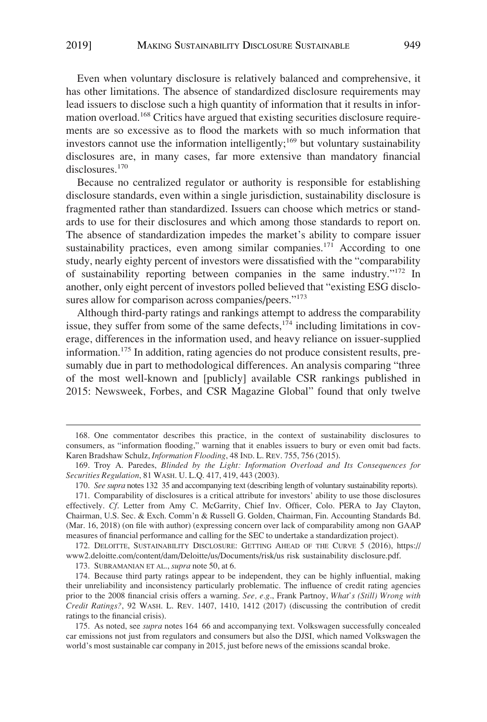Even when voluntary disclosure is relatively balanced and comprehensive, it has other limitations. The absence of standardized disclosure requirements may lead issuers to disclose such a high quantity of information that it results in information overload.168 Critics have argued that existing securities disclosure requirements are so excessive as to flood the markets with so much information that investors cannot use the information intelligently;<sup>169</sup> but voluntary sustainability disclosures are, in many cases, far more extensive than mandatory financial disclosures.<sup>170</sup>

Because no centralized regulator or authority is responsible for establishing disclosure standards, even within a single jurisdiction, sustainability disclosure is fragmented rather than standardized. Issuers can choose which metrics or standards to use for their disclosures and which among those standards to report on. The absence of standardization impedes the market's ability to compare issuer sustainability practices, even among similar companies.<sup>171</sup> According to one study, nearly eighty percent of investors were dissatisfied with the "comparability of sustainability reporting between companies in the same industry."172 In another, only eight percent of investors polled believed that "existing ESG disclosures allow for comparison across companies/peers."<sup>173</sup>

Although third-party ratings and rankings attempt to address the comparability issue, they suffer from some of the same defects, $174$  including limitations in coverage, differences in the information used, and heavy reliance on issuer-supplied information.175 In addition, rating agencies do not produce consistent results, presumably due in part to methodological differences. An analysis comparing "three of the most well-known and [publicly] available CSR rankings published in 2015: Newsweek, Forbes, and CSR Magazine Global" found that only twelve

173. SUBRAMANIAN ET AL., *supra* note 50, at 6.

<sup>168.</sup> One commentator describes this practice, in the context of sustainability disclosures to consumers, as "information flooding," warning that it enables issuers to bury or even omit bad facts. Karen Bradshaw Schulz, *Information Flooding*, 48 IND. L. REV. 755, 756 (2015).

<sup>169.</sup> Troy A. Paredes, *Blinded by the Light: Information Overload and Its Consequences for Securities Regulation*, 81 WASH. U. L.Q. 417, 419, 443 (2003).

<sup>170.</sup> *See supra* notes 132 35 and accompanying text (describing length of voluntary sustainability reports).

<sup>171.</sup> Comparability of disclosures is a critical attribute for investors' ability to use those disclosures effectively. *Cf*. Letter from Amy C. McGarrity, Chief Inv. Officer, Colo. PERA to Jay Clayton, Chairman, U.S. Sec. & Exch. Comm'n & Russell G. Golden, Chairman, Fin. Accounting Standards Bd. (Mar. 16, 2018) (on file with author) (expressing concern over lack of comparability among non GAAP measures of financial performance and calling for the SEC to undertake a standardization project).

<sup>172.</sup> DELOITTE, SUSTAINABILITY DISCLOSURE: GETTING AHEAD OF THE CURVE 5 (2016), https:// www2.deloitte.com/content/dam/Deloitte/us/Documents/risk/us risk sustainability disclosure.pdf.

<sup>174.</sup> Because third party ratings appear to be independent, they can be highly influential, making their unreliability and inconsistency particularly problematic. The influence of credit rating agencies prior to the 2008 financial crisis offers a warning. *See, e.g*., Frank Partnoy, *What's (Still) Wrong with Credit Ratings?*, 92 WASH. L. REV. 1407, 1410, 1412 (2017) (discussing the contribution of credit ratings to the financial crisis).

<sup>175.</sup> As noted, see *supra* notes 164 66 and accompanying text. Volkswagen successfully concealed car emissions not just from regulators and consumers but also the DJSI, which named Volkswagen the world's most sustainable car company in 2015, just before news of the emissions scandal broke.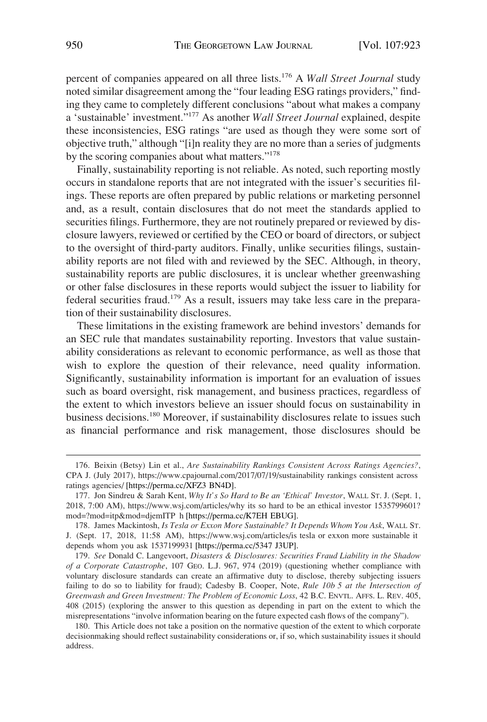percent of companies appeared on all three lists.176 A *Wall Street Journal* study noted similar disagreement among the "four leading ESG ratings providers," finding they came to completely different conclusions "about what makes a company a 'sustainable' investment."177 As another *Wall Street Journal* explained, despite these inconsistencies, ESG ratings "are used as though they were some sort of objective truth," although "[i]n reality they are no more than a series of judgments by the scoring companies about what matters."<sup>178</sup>

Finally, sustainability reporting is not reliable. As noted, such reporting mostly occurs in standalone reports that are not integrated with the issuer's securities filings. These reports are often prepared by public relations or marketing personnel and, as a result, contain disclosures that do not meet the standards applied to securities filings. Furthermore, they are not routinely prepared or reviewed by disclosure lawyers, reviewed or certified by the CEO or board of directors, or subject to the oversight of third-party auditors. Finally, unlike securities filings, sustainability reports are not filed with and reviewed by the SEC. Although, in theory, sustainability reports are public disclosures, it is unclear whether greenwashing or other false disclosures in these reports would subject the issuer to liability for federal securities fraud.179 As a result, issuers may take less care in the preparation of their sustainability disclosures.

These limitations in the existing framework are behind investors' demands for an SEC rule that mandates sustainability reporting. Investors that value sustainability considerations as relevant to economic performance, as well as those that wish to explore the question of their relevance, need quality information. Significantly, sustainability information is important for an evaluation of issues such as board oversight, risk management, and business practices, regardless of the extent to which investors believe an issuer should focus on sustainability in business decisions.180 Moreover, if sustainability disclosures relate to issues such as financial performance and risk management, those disclosures should be

<sup>176.</sup> Beixin (Betsy) Lin et al., *Are Sustainability Rankings Consistent Across Ratings Agencies?*, CPA J. (July 2017), https://www.cpajournal.com/2017/07/19/sustainability rankings consistent across ratings agencies/ [https://perma.cc/XFZ3 BN4D].

<sup>177.</sup> Jon Sindreu & Sarah Kent, *Why It's So Hard to Be an 'Ethical' Investor*, WALL ST. J. (Sept. 1, 2018, 7:00 AM), https://www.wsj.com/articles/why its so hard to be an ethical investor 1535799601? mod=?mod=itp&mod=djemITP h [https://perma.cc/K7EH EBUG].

<sup>178.</sup> James Mackintosh, Is Tesla or Exxon More Sustainable? It Depends Whom You Ask, WALL ST. J. (Sept. 17, 2018, 11:58 AM), https://www.wsj.com/articles/is tesla or exxon more sustainable it depends whom you ask 1537199931 [https://perma.cc/5347 J3UP].

<sup>179.</sup> *See* Donald C. Langevoort, *Disasters & Disclosures: Securities Fraud Liability in the Shadow of a Corporate Catastrophe*, 107 GEO. L.J. 967, 974 (2019) (questioning whether compliance with voluntary disclosure standards can create an affirmative duty to disclose, thereby subjecting issuers failing to do so to liability for fraud); Cadesby B. Cooper, Note, *Rule 10b 5 at the Intersection of Greenwash and Green Investment: The Problem of Economic Loss*, 42 B.C. ENVTL. AFFS. L. REV. 405, 408 (2015) (exploring the answer to this question as depending in part on the extent to which the misrepresentations "involve information bearing on the future expected cash flows of the company").

<sup>180.</sup> This Article does not take a position on the normative question of the extent to which corporate decisionmaking should reflect sustainability considerations or, if so, which sustainability issues it should address.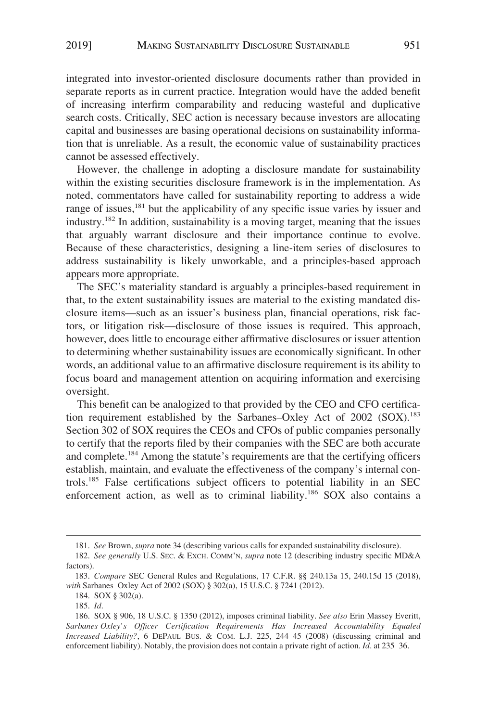integrated into investor-oriented disclosure documents rather than provided in separate reports as in current practice. Integration would have the added benefit of increasing interfirm comparability and reducing wasteful and duplicative search costs. Critically, SEC action is necessary because investors are allocating capital and businesses are basing operational decisions on sustainability information that is unreliable. As a result, the economic value of sustainability practices cannot be assessed effectively.

However, the challenge in adopting a disclosure mandate for sustainability within the existing securities disclosure framework is in the implementation. As noted, commentators have called for sustainability reporting to address a wide range of issues,<sup>181</sup> but the applicability of any specific issue varies by issuer and industry.182 In addition, sustainability is a moving target, meaning that the issues that arguably warrant disclosure and their importance continue to evolve. Because of these characteristics, designing a line-item series of disclosures to address sustainability is likely unworkable, and a principles-based approach appears more appropriate.

The SEC's materiality standard is arguably a principles-based requirement in that, to the extent sustainability issues are material to the existing mandated disclosure items—such as an issuer's business plan, financial operations, risk factors, or litigation risk—disclosure of those issues is required. This approach, however, does little to encourage either affirmative disclosures or issuer attention to determining whether sustainability issues are economically significant. In other words, an additional value to an affirmative disclosure requirement is its ability to focus board and management attention on acquiring information and exercising oversight.

This benefit can be analogized to that provided by the CEO and CFO certification requirement established by the Sarbanes–Oxley Act of 2002 (SOX).<sup>183</sup> Section 302 of SOX requires the CEOs and CFOs of public companies personally to certify that the reports filed by their companies with the SEC are both accurate and complete.184 Among the statute's requirements are that the certifying officers establish, maintain, and evaluate the effectiveness of the company's internal controls.185 False certifications subject officers to potential liability in an SEC enforcement action, as well as to criminal liability.<sup>186</sup> SOX also contains a

<sup>181.</sup> *See* Brown, *supra* note 34 (describing various calls for expanded sustainability disclosure).

<sup>182.</sup> *See generally* U.S. SEC. & EXCH. COMM'N, *supra* note 12 (describing industry specific MD&A factors).

<sup>183.</sup> *Compare* SEC General Rules and Regulations, 17 C.F.R. §§ 240.13a 15, 240.15d 15 (2018), *with* Sarbanes Oxley Act of 2002 (SOX) § 302(a), 15 U.S.C. § 7241 (2012).

<sup>184.</sup> SOX § 302(a).

<sup>185.</sup> *Id*.

<sup>186.</sup> SOX § 906, 18 U.S.C. § 1350 (2012), imposes criminal liability. *See also* Erin Massey Everitt, *Sarbanes Oxley's Officer Certification Requirements Has Increased Accountability Equaled Increased Liability?*, 6 DEPAUL BUS. & COM. L.J. 225, 244 45 (2008) (discussing criminal and enforcement liability). Notably, the provision does not contain a private right of action. *Id*. at 235 36.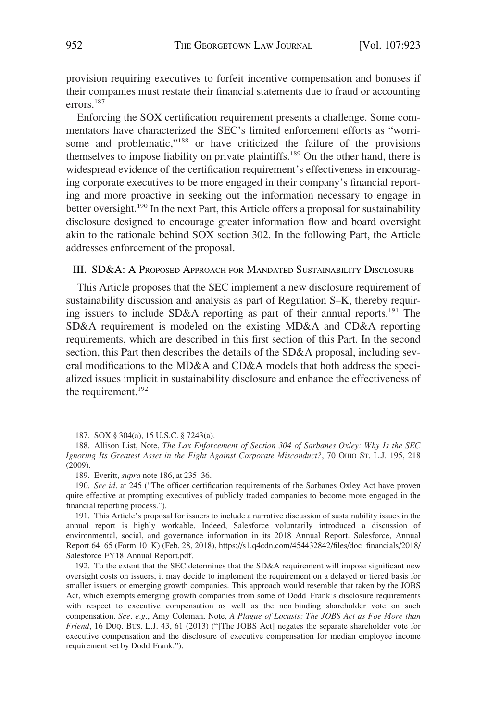provision requiring executives to forfeit incentive compensation and bonuses if their companies must restate their financial statements due to fraud or accounting errors.<sup>187</sup>

Enforcing the SOX certification requirement presents a challenge. Some commentators have characterized the SEC's limited enforcement efforts as "worrisome and problematic,"<sup>188</sup> or have criticized the failure of the provisions themselves to impose liability on private plaintiffs.189 On the other hand, there is widespread evidence of the certification requirement's effectiveness in encouraging corporate executives to be more engaged in their company's financial reporting and more proactive in seeking out the information necessary to engage in better oversight.<sup>190</sup> In the next Part, this Article offers a proposal for sustainability disclosure designed to encourage greater information flow and board oversight akin to the rationale behind SOX section 302. In the following Part, the Article addresses enforcement of the proposal.

# III. SD&A: A PROPOSED APPROACH FOR MANDATED SUSTAINABILITY DISCLOSURE

This Article proposes that the SEC implement a new disclosure requirement of sustainability discussion and analysis as part of Regulation S–K, thereby requiring issuers to include SD&A reporting as part of their annual reports.<sup>191</sup> The SD&A requirement is modeled on the existing MD&A and CD&A reporting requirements, which are described in this first section of this Part. In the second section, this Part then describes the details of the SD&A proposal, including several modifications to the MD&A and CD&A models that both address the specialized issues implicit in sustainability disclosure and enhance the effectiveness of the requirement.<sup>192</sup>

<sup>187.</sup> SOX § 304(a), 15 U.S.C. § 7243(a).

<sup>188.</sup> Allison List, Note, *The Lax Enforcement of Section 304 of Sarbanes Oxley: Why Is the SEC Ignoring Its Greatest Asset in the Fight Against Corporate Misconduct?*, 70 OHIO ST. L.J. 195, 218 (2009).

<sup>189.</sup> Everitt, *supra* note 186, at 235 36.

<sup>190.</sup> *See id*. at 245 ("The officer certification requirements of the Sarbanes Oxley Act have proven quite effective at prompting executives of publicly traded companies to become more engaged in the financial reporting process.").

<sup>191.</sup> This Article's proposal for issuers to include a narrative discussion of sustainability issues in the annual report is highly workable. Indeed, Salesforce voluntarily introduced a discussion of environmental, social, and governance information in its 2018 Annual Report. Salesforce, Annual Report 64 65 (Form 10 K) (Feb. 28, 2018), https://s1.q4cdn.com/454432842/files/doc financials/2018/ Salesforce FY18 Annual Report.pdf.

<sup>192.</sup> To the extent that the SEC determines that the SD&A requirement will impose significant new oversight costs on issuers, it may decide to implement the requirement on a delayed or tiered basis for smaller issuers or emerging growth companies. This approach would resemble that taken by the JOBS Act, which exempts emerging growth companies from some of Dodd Frank's disclosure requirements with respect to executive compensation as well as the non binding shareholder vote on such compensation. *See, e.g*., Amy Coleman, Note, *A Plague of Locusts: The JOBS Act as Foe More than Friend*, 16 DUQ. BUS. L.J. 43, 61 (2013) ("[The JOBS Act] negates the separate shareholder vote for executive compensation and the disclosure of executive compensation for median employee income requirement set by Dodd Frank.").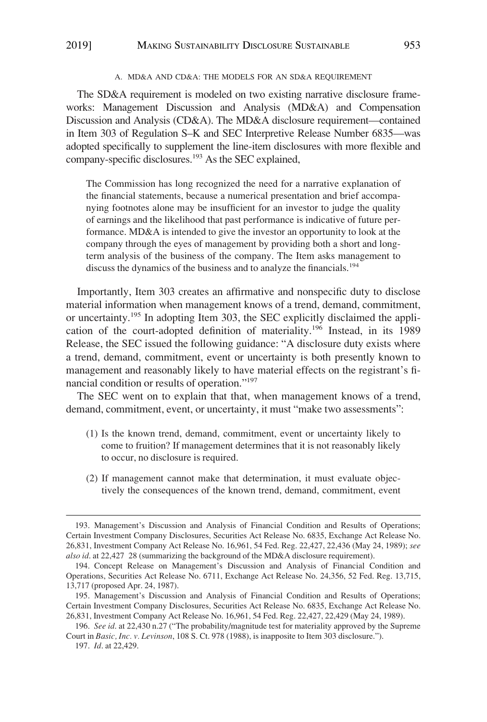### A. MD&A AND CD&A: THE MODELS FOR AN SD&A REQUIREMENT

The SD&A requirement is modeled on two existing narrative disclosure frameworks: Management Discussion and Analysis (MD&A) and Compensation Discussion and Analysis (CD&A). The MD&A disclosure requirement—contained in Item 303 of Regulation S–K and SEC Interpretive Release Number 6835—was adopted specifically to supplement the line-item disclosures with more flexible and company-specific disclosures.<sup>193</sup> As the SEC explained,

The Commission has long recognized the need for a narrative explanation of the financial statements, because a numerical presentation and brief accompanying footnotes alone may be insufficient for an investor to judge the quality of earnings and the likelihood that past performance is indicative of future performance. MD&A is intended to give the investor an opportunity to look at the company through the eyes of management by providing both a short and longterm analysis of the business of the company. The Item asks management to discuss the dynamics of the business and to analyze the financials.<sup>194</sup>

Importantly, Item 303 creates an affirmative and nonspecific duty to disclose material information when management knows of a trend, demand, commitment, or uncertainty.195 In adopting Item 303, the SEC explicitly disclaimed the application of the court-adopted definition of materiality.196 Instead, in its 1989 Release, the SEC issued the following guidance: "A disclosure duty exists where a trend, demand, commitment, event or uncertainty is both presently known to management and reasonably likely to have material effects on the registrant's financial condition or results of operation."197

The SEC went on to explain that that, when management knows of a trend, demand, commitment, event, or uncertainty, it must "make two assessments":

- (1) Is the known trend, demand, commitment, event or uncertainty likely to come to fruition? If management determines that it is not reasonably likely to occur, no disclosure is required.
- (2) If management cannot make that determination, it must evaluate objectively the consequences of the known trend, demand, commitment, event

<sup>193.</sup> Management's Discussion and Analysis of Financial Condition and Results of Operations; Certain Investment Company Disclosures, Securities Act Release No. 6835, Exchange Act Release No. 26,831, Investment Company Act Release No. 16,961, 54 Fed. Reg. 22,427, 22,436 (May 24, 1989); *see also id*. at 22,427 28 (summarizing the background of the MD&A disclosure requirement).

<sup>194.</sup> Concept Release on Management's Discussion and Analysis of Financial Condition and Operations, Securities Act Release No. 6711, Exchange Act Release No. 24,356, 52 Fed. Reg. 13,715, 13,717 (proposed Apr. 24, 1987).

<sup>195.</sup> Management's Discussion and Analysis of Financial Condition and Results of Operations; Certain Investment Company Disclosures, Securities Act Release No. 6835, Exchange Act Release No. 26,831, Investment Company Act Release No. 16,961, 54 Fed. Reg. 22,427, 22,429 (May 24, 1989).

<sup>196.</sup> *See id*. at 22,430 n.27 ("The probability/magnitude test for materiality approved by the Supreme Court in *Basic, Inc. v. Levinson*, 108 S. Ct. 978 (1988), is inapposite to Item 303 disclosure.").

<sup>197.</sup> *Id*. at 22,429.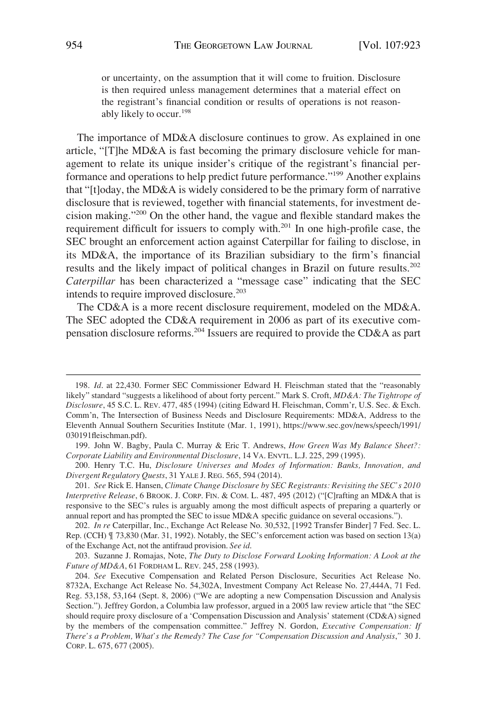or uncertainty, on the assumption that it will come to fruition. Disclosure is then required unless management determines that a material effect on the registrant's financial condition or results of operations is not reasonably likely to occur.<sup>198</sup>

The importance of MD&A disclosure continues to grow. As explained in one article, "[T]he MD&A is fast becoming the primary disclosure vehicle for management to relate its unique insider's critique of the registrant's financial performance and operations to help predict future performance."199 Another explains that "[t]oday, the MD&A is widely considered to be the primary form of narrative disclosure that is reviewed, together with financial statements, for investment decision making."200 On the other hand, the vague and flexible standard makes the requirement difficult for issuers to comply with.201 In one high-profile case, the SEC brought an enforcement action against Caterpillar for failing to disclose, in its MD&A, the importance of its Brazilian subsidiary to the firm's financial results and the likely impact of political changes in Brazil on future results.202 *Caterpillar* has been characterized a "message case" indicating that the SEC intends to require improved disclosure.<sup>203</sup>

The CD&A is a more recent disclosure requirement, modeled on the MD&A. The SEC adopted the CD&A requirement in 2006 as part of its executive compensation disclosure reforms.204 Issuers are required to provide the CD&A as part

<sup>198.</sup> Id. at 22,430. Former SEC Commissioner Edward H. Fleischman stated that the "reasonably likely" standard "suggests a likelihood of about forty percent." Mark S. Croft, *MD&A: The Tightrope of Disclosure*, 45 S.C. L. REV. 477, 485 (1994) (citing Edward H. Fleischman, Comm'r, U.S. Sec. & Exch. Comm'n, The Intersection of Business Needs and Disclosure Requirements: MD&A, Address to the Eleventh Annual Southern Securities Institute (Mar. 1, 1991), https://www.sec.gov/news/speech/1991/ 030191fleischman.pdf).

<sup>199.</sup> John W. Bagby, Paula C. Murray & Eric T. Andrews, *How Green Was My Balance Sheet?: Corporate Liability and Environmental Disclosure*, 14 VA. ENVTL. L.J. 225, 299 (1995).

<sup>200.</sup> Henry T.C. Hu, *Disclosure Universes and Modes of Information: Banks, Innovation, and Divergent Regulatory Quests*, 31 YALE J. REG. 565, 594 (2014).

<sup>201.</sup> *See* Rick E. Hansen, *Climate Change Disclosure by SEC Registrants: Revisiting the SEC's 2010 Interpretive Release*, 6 BROOK. J. CORP. FIN. & COM. L. 487, 495 (2012) ("[C]rafting an MD&A that is responsive to the SEC's rules is arguably among the most difficult aspects of preparing a quarterly or annual report and has prompted the SEC to issue MD&A specific guidance on several occasions.").

<sup>202.</sup> *In re* Caterpillar, Inc., Exchange Act Release No. 30,532, [1992 Transfer Binder] 7 Fed. Sec. L. Rep. (CCH) ¶ 73,830 (Mar. 31, 1992). Notably, the SEC's enforcement action was based on section 13(a) of the Exchange Act, not the antifraud provision. *See id*.

<sup>203.</sup> Suzanne J. Romajas, Note, *The Duty to Disclose Forward Looking Information: A Look at the Future of MD&A*, 61 FORDHAM L. REV. 245, 258 (1993).

<sup>204.</sup> *See* Executive Compensation and Related Person Disclosure, Securities Act Release No. 8732A, Exchange Act Release No. 54,302A, Investment Company Act Release No. 27,444A, 71 Fed. Reg. 53,158, 53,164 (Sept. 8, 2006) ("We are adopting a new Compensation Discussion and Analysis Section."). Jeffrey Gordon, a Columbia law professor, argued in a 2005 law review article that "the SEC should require proxy disclosure of a 'Compensation Discussion and Analysis' statement (CD&A) signed by the members of the compensation committee." Jeffrey N. Gordon, *Executive Compensation: If There's a Problem, What's the Remedy? The Case for "Compensation Discussion and Analysis*,*"* 30 J. CORP. L. 675, 677 (2005).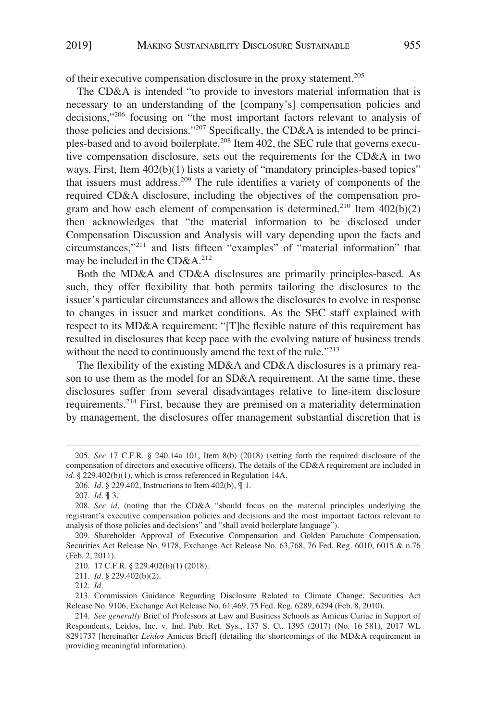of their executive compensation disclosure in the proxy statement.205

The CD&A is intended "to provide to investors material information that is necessary to an understanding of the [company's] compensation policies and decisions,"206 focusing on "the most important factors relevant to analysis of those policies and decisions."207 Specifically, the CD&A is intended to be principles-based and to avoid boilerplate.<sup>208</sup> Item 402, the SEC rule that governs executive compensation disclosure, sets out the requirements for the CD&A in two ways. First, Item  $402(b)(1)$  lists a variety of "mandatory principles-based topics" that issuers must address.209 The rule identifies a variety of components of the required CD&A disclosure, including the objectives of the compensation program and how each element of compensation is determined.<sup>210</sup> Item  $402(b)(2)$ then acknowledges that "the material information to be disclosed under Compensation Discussion and Analysis will vary depending upon the facts and circumstances,"211 and lists fifteen "examples" of "material information" that may be included in the  $CD&A.<sup>212</sup>$ 

Both the MD&A and CD&A disclosures are primarily principles-based. As such, they offer flexibility that both permits tailoring the disclosures to the issuer's particular circumstances and allows the disclosures to evolve in response to changes in issuer and market conditions. As the SEC staff explained with respect to its MD&A requirement: "[T]he flexible nature of this requirement has resulted in disclosures that keep pace with the evolving nature of business trends without the need to continuously amend the text of the rule."<sup>213</sup>

The flexibility of the existing MD&A and CD&A disclosures is a primary reason to use them as the model for an SD&A requirement. At the same time, these disclosures suffer from several disadvantages relative to line-item disclosure requirements.<sup>214</sup> First, because they are premised on a materiality determination by management, the disclosures offer management substantial discretion that is

212. *Id*.

<sup>205.</sup> *See* 17 C.F.R. § 240.14a 101, Item 8(b) (2018) (setting forth the required disclosure of the compensation of directors and executive officers). The details of the CD&A requirement are included in *id*. § 229.402(b)(1), which is cross referenced in Regulation 14A.

<sup>206.</sup> *Id*. § 229.402, Instructions to Item 402(b), ¶ 1.

<sup>207.</sup> *Id*. ¶ 3.

<sup>208.</sup> *See id*. (noting that the CD&A "should focus on the material principles underlying the registrant's executive compensation policies and decisions and the most important factors relevant to analysis of those policies and decisions" and "shall avoid boilerplate language").

<sup>209.</sup> Shareholder Approval of Executive Compensation and Golden Parachute Compensation, Securities Act Release No. 9178, Exchange Act Release No. 63,768, 76 Fed. Reg. 6010, 6015 & n.76 (Feb. 2, 2011).

<sup>210. 17</sup> C.F.R. § 229.402(b)(1) (2018).

<sup>211.</sup> *Id*. § 229.402(b)(2).

<sup>213.</sup> Commission Guidance Regarding Disclosure Related to Climate Change, Securities Act Release No. 9106, Exchange Act Release No. 61,469, 75 Fed. Reg. 6289, 6294 (Feb. 8, 2010).

<sup>214.</sup> *See generally* Brief of Professors at Law and Business Schools as Amicus Curiae in Support of Respondents, Leidos, Inc. v. Ind. Pub. Ret. Sys., 137 S. Ct. 1395 (2017) (No. 16 581), 2017 WL 8291737 [hereinafter *Leidos* Amicus Brief] (detailing the shortcomings of the MD&A requirement in providing meaningful information).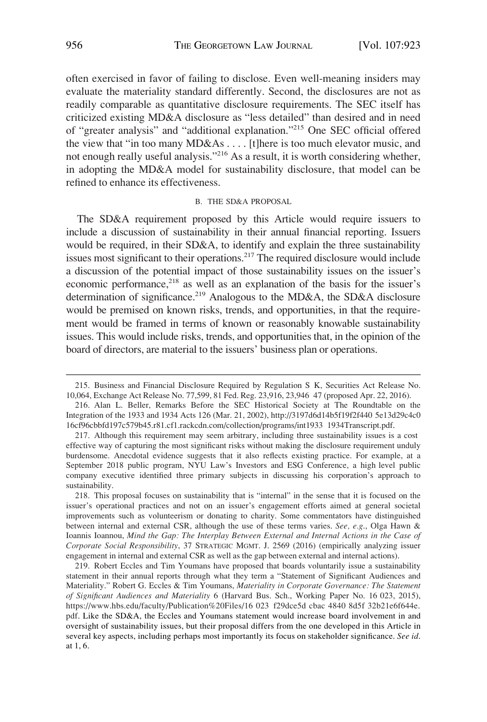often exercised in favor of failing to disclose. Even well-meaning insiders may evaluate the materiality standard differently. Second, the disclosures are not as readily comparable as quantitative disclosure requirements. The SEC itself has criticized existing MD&A disclosure as "less detailed" than desired and in need of "greater analysis" and "additional explanation."215 One SEC official offered the view that "in too many MD&As . . . . [t]here is too much elevator music, and not enough really useful analysis."<sup>216</sup> As a result, it is worth considering whether, in adopting the MD&A model for sustainability disclosure, that model can be refined to enhance its effectiveness.

#### B. THE SD&A PROPOSAL

The SD&A requirement proposed by this Article would require issuers to include a discussion of sustainability in their annual financial reporting. Issuers would be required, in their SD&A, to identify and explain the three sustainability issues most significant to their operations.<sup>217</sup> The required disclosure would include a discussion of the potential impact of those sustainability issues on the issuer's economic performance,<sup>218</sup> as well as an explanation of the basis for the issuer's determination of significance.<sup>219</sup> Analogous to the MD&A, the SD&A disclosure would be premised on known risks, trends, and opportunities, in that the requirement would be framed in terms of known or reasonably knowable sustainability issues. This would include risks, trends, and opportunities that, in the opinion of the board of directors, are material to the issuers' business plan or operations.

<sup>215.</sup> Business and Financial Disclosure Required by Regulation S K, Securities Act Release No. 10,064, Exchange Act Release No. 77,599, 81 Fed. Reg. 23,916, 23,946 47 (proposed Apr. 22, 2016).

<sup>216.</sup> Alan L. Beller, Remarks Before the SEC Historical Society at The Roundtable on the Integration of the 1933 and 1934 Acts 126 (Mar. 21, 2002), http://3197d6d14b5f19f2f440 5e13d29c4c0 16cf96cbbfd197c579b45.r81.cf1.rackcdn.com/collection/programs/int1933 1934Transcript.pdf.

<sup>217.</sup> Although this requirement may seem arbitrary, including three sustainability issues is a cost effective way of capturing the most significant risks without making the disclosure requirement unduly burdensome. Anecdotal evidence suggests that it also reflects existing practice. For example, at a September 2018 public program, NYU Law's Investors and ESG Conference, a high level public company executive identified three primary subjects in discussing his corporation's approach to sustainability.

<sup>218.</sup> This proposal focuses on sustainability that is "internal" in the sense that it is focused on the issuer's operational practices and not on an issuer's engagement efforts aimed at general societal improvements such as volunteerism or donating to charity. Some commentators have distinguished between internal and external CSR, although the use of these terms varies. *See, e.g*., Olga Hawn & Ioannis Ioannou, *Mind the Gap: The Interplay Between External and Internal Actions in the Case of Corporate Social Responsibility*, 37 STRATEGIC MGMT. J. 2569 (2016) (empirically analyzing issuer engagement in internal and external CSR as well as the gap between external and internal actions).

<sup>219.</sup> Robert Eccles and Tim Youmans have proposed that boards voluntarily issue a sustainability statement in their annual reports through what they term a "Statement of Significant Audiences and Materiality." Robert G. Eccles & Tim Youmans, *Materiality in Corporate Governance: The Statement of Significant Audiences and Materiality* 6 (Harvard Bus. Sch., Working Paper No. 16 023, 2015), https://www.hbs.edu/faculty/Publication%20Files/16 023 f29dce5d cbac 4840 8d5f 32b21e6f644e. pdf. Like the SD&A, the Eccles and Youmans statement would increase board involvement in and oversight of sustainability issues, but their proposal differs from the one developed in this Article in several key aspects, including perhaps most importantly its focus on stakeholder significance. *See id*. at 1, 6.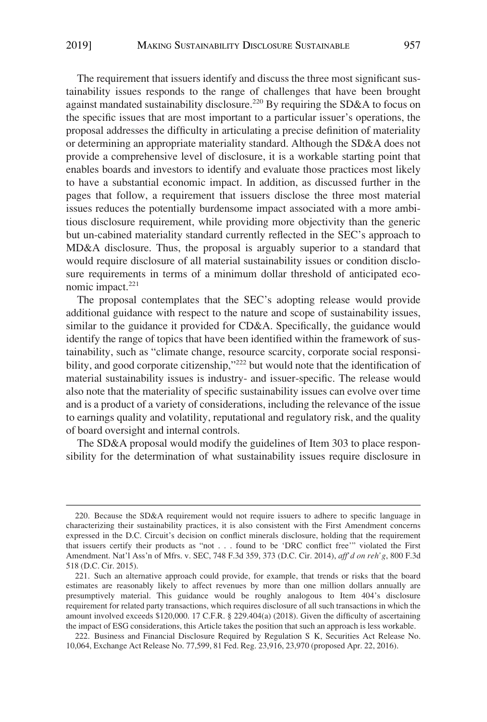The requirement that issuers identify and discuss the three most significant sustainability issues responds to the range of challenges that have been brought against mandated sustainability disclosure.<sup>220</sup> By requiring the SD&A to focus on the specific issues that are most important to a particular issuer's operations, the proposal addresses the difficulty in articulating a precise definition of materiality or determining an appropriate materiality standard. Although the SD&A does not provide a comprehensive level of disclosure, it is a workable starting point that enables boards and investors to identify and evaluate those practices most likely to have a substantial economic impact. In addition, as discussed further in the pages that follow, a requirement that issuers disclose the three most material issues reduces the potentially burdensome impact associated with a more ambitious disclosure requirement, while providing more objectivity than the generic but un-cabined materiality standard currently reflected in the SEC's approach to MD&A disclosure. Thus, the proposal is arguably superior to a standard that would require disclosure of all material sustainability issues or condition disclosure requirements in terms of a minimum dollar threshold of anticipated economic impact. $221$ 

The proposal contemplates that the SEC's adopting release would provide additional guidance with respect to the nature and scope of sustainability issues, similar to the guidance it provided for CD&A. Specifically, the guidance would identify the range of topics that have been identified within the framework of sustainability, such as "climate change, resource scarcity, corporate social responsibility, and good corporate citizenship,"<sup>222</sup> but would note that the identification of material sustainability issues is industry- and issuer-specific. The release would also note that the materiality of specific sustainability issues can evolve over time and is a product of a variety of considerations, including the relevance of the issue to earnings quality and volatility, reputational and regulatory risk, and the quality of board oversight and internal controls.

The SD&A proposal would modify the guidelines of Item 303 to place responsibility for the determination of what sustainability issues require disclosure in

<sup>220.</sup> Because the SD&A requirement would not require issuers to adhere to specific language in characterizing their sustainability practices, it is also consistent with the First Amendment concerns expressed in the D.C. Circuit's decision on conflict minerals disclosure, holding that the requirement that issuers certify their products as "not . . . found to be 'DRC conflict free'" violated the First Amendment. Nat'l Ass'n of Mfrs. v. SEC, 748 F.3d 359, 373 (D.C. Cir. 2014), *aff'd on reh'g*, 800 F.3d 518 (D.C. Cir. 2015).

<sup>221.</sup> Such an alternative approach could provide, for example, that trends or risks that the board estimates are reasonably likely to affect revenues by more than one million dollars annually are presumptively material. This guidance would be roughly analogous to Item 404's disclosure requirement for related party transactions, which requires disclosure of all such transactions in which the amount involved exceeds \$120,000. 17 C.F.R. § 229.404(a) (2018). Given the difficulty of ascertaining the impact of ESG considerations, this Article takes the position that such an approach is less workable.

<sup>222.</sup> Business and Financial Disclosure Required by Regulation S K, Securities Act Release No. 10,064, Exchange Act Release No. 77,599, 81 Fed. Reg. 23,916, 23,970 (proposed Apr. 22, 2016).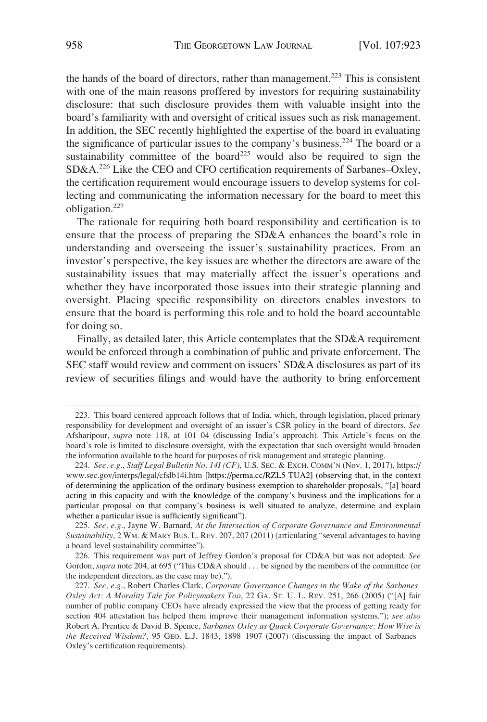the hands of the board of directors, rather than management.<sup>223</sup> This is consistent with one of the main reasons proffered by investors for requiring sustainability disclosure: that such disclosure provides them with valuable insight into the board's familiarity with and oversight of critical issues such as risk management. In addition, the SEC recently highlighted the expertise of the board in evaluating the significance of particular issues to the company's business.<sup>224</sup> The board or a sustainability committee of the board<sup>225</sup> would also be required to sign the SD&A.226 Like the CEO and CFO certification requirements of Sarbanes–Oxley, the certification requirement would encourage issuers to develop systems for collecting and communicating the information necessary for the board to meet this obligation.227

The rationale for requiring both board responsibility and certification is to ensure that the process of preparing the SD&A enhances the board's role in understanding and overseeing the issuer's sustainability practices. From an investor's perspective, the key issues are whether the directors are aware of the sustainability issues that may materially affect the issuer's operations and whether they have incorporated those issues into their strategic planning and oversight. Placing specific responsibility on directors enables investors to ensure that the board is performing this role and to hold the board accountable for doing so.

Finally, as detailed later, this Article contemplates that the SD&A requirement would be enforced through a combination of public and private enforcement. The SEC staff would review and comment on issuers' SD&A disclosures as part of its review of securities filings and would have the authority to bring enforcement

<sup>223.</sup> This board centered approach follows that of India, which, through legislation, placed primary responsibility for development and oversight of an issuer's CSR policy in the board of directors. *See*  Afsharipour, *supra* note 118, at 101 04 (discussing India's approach). This Article's focus on the board's role is limited to disclosure oversight, with the expectation that such oversight would broaden the information available to the board for purposes of risk management and strategic planning.

*See, e.g*., *Staff Legal Bulletin No. 14I (CF)*, U.S. SEC. & EXCH. COMM'N (Nov. 1, 2017), https:// 224. www.sec.gov/interps/legal/cfslb14i.htm [https://perma.cc/RZL5 TUA2] (observing that, in the context of determining the application of the ordinary business exemption to shareholder proposals, "[a] board acting in this capacity and with the knowledge of the company's business and the implications for a particular proposal on that company's business is well situated to analyze, determine and explain whether a particular issue is sufficiently significant").

<sup>225.</sup> *See, e.g*., Jayne W. Barnard, *At the Intersection of Corporate Governance and Environmental Sustainability*, 2 WM. & MARY BUS. L. REV. 207, 207 (2011) (articulating "several advantages to having a board level sustainability committee").

<sup>226.</sup> This requirement was part of Jeffrey Gordon's proposal for CD&A but was not adopted. *See*  Gordon, *supra* note 204, at 695 ("This CD&A should . . . be signed by the members of the committee (or the independent directors, as the case may be).").

<sup>227.</sup> *See, e.g*., Robert Charles Clark, *Corporate Governance Changes in the Wake of the Sarbanes Oxley Act: A Morality Tale for Policymakers Too*, 22 GA. ST. U. L. REV. 251, 266 (2005) ("[A] fair number of public company CEOs have already expressed the view that the process of getting ready for section 404 attestation has helped them improve their management information systems."); *see also*  Robert A. Prentice & David B. Spence, *Sarbanes Oxley as Quack Corporate Governance: How Wise is the Received Wisdom?*, 95 GEO. L.J. 1843, 1898 1907 (2007) (discussing the impact of Sarbanes Oxley's certification requirements).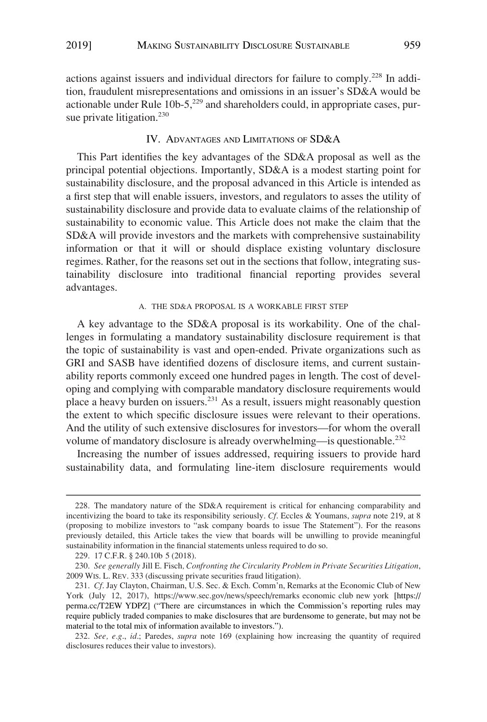actions against issuers and individual directors for failure to comply.228 In addition, fraudulent misrepresentations and omissions in an issuer's SD&A would be actionable under Rule  $10b-5$ ,<sup>229</sup> and shareholders could, in appropriate cases, pursue private litigation.<sup>230</sup>

# IV. ADVANTAGES AND LIMITATIONS OF SD&A

This Part identifies the key advantages of the SD&A proposal as well as the principal potential objections. Importantly, SD&A is a modest starting point for sustainability disclosure, and the proposal advanced in this Article is intended as a first step that will enable issuers, investors, and regulators to asses the utility of sustainability disclosure and provide data to evaluate claims of the relationship of sustainability to economic value. This Article does not make the claim that the SD&A will provide investors and the markets with comprehensive sustainability information or that it will or should displace existing voluntary disclosure regimes. Rather, for the reasons set out in the sections that follow, integrating sustainability disclosure into traditional financial reporting provides several advantages.

# A. THE SD&A PROPOSAL IS A WORKABLE FIRST STEP

A key advantage to the SD&A proposal is its workability. One of the challenges in formulating a mandatory sustainability disclosure requirement is that the topic of sustainability is vast and open-ended. Private organizations such as GRI and SASB have identified dozens of disclosure items, and current sustainability reports commonly exceed one hundred pages in length. The cost of developing and complying with comparable mandatory disclosure requirements would place a heavy burden on issuers.<sup>231</sup> As a result, issuers might reasonably question the extent to which specific disclosure issues were relevant to their operations. And the utility of such extensive disclosures for investors—for whom the overall volume of mandatory disclosure is already overwhelming—is questionable.<sup>232</sup>

Increasing the number of issues addressed, requiring issuers to provide hard sustainability data, and formulating line-item disclosure requirements would

<sup>228.</sup> The mandatory nature of the SD&A requirement is critical for enhancing comparability and incentivizing the board to take its responsibility seriously. *Cf*. Eccles & Youmans, *supra* note 219, at 8 (proposing to mobilize investors to "ask company boards to issue The Statement"). For the reasons previously detailed, this Article takes the view that boards will be unwilling to provide meaningful sustainability information in the financial statements unless required to do so.

<sup>229. 17</sup> C.F.R. § 240.10b 5 (2018).

<sup>230.</sup> *See generally* Jill E. Fisch*, Confronting the Circularity Problem in Private Securities Litigation*, 2009 WIS. L. REV. 333 (discussing private securities fraud litigation).

<sup>231.</sup> Cf. Jay Clayton, Chairman, U.S. Sec. & Exch. Comm'n, Remarks at the Economic Club of New York (July 12, 2017), https://www.sec.gov/news/speech/remarks economic club new york [https:// perma.cc/T2EW YDPZ] ("There are circumstances in which the Commission's reporting rules may require publicly traded companies to make disclosures that are burdensome to generate, but may not be material to the total mix of information available to investors.").

<sup>232.</sup> *See, e.g*., *id*.; Paredes, *supra* note 169 (explaining how increasing the quantity of required disclosures reduces their value to investors).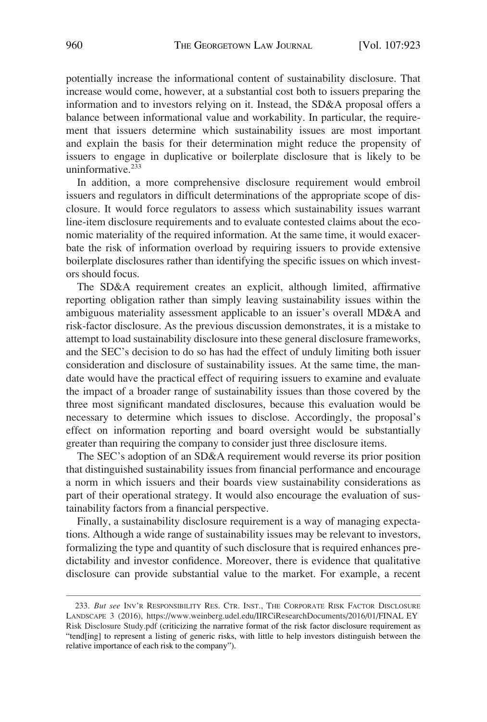potentially increase the informational content of sustainability disclosure. That increase would come, however, at a substantial cost both to issuers preparing the information and to investors relying on it. Instead, the SD&A proposal offers a balance between informational value and workability. In particular, the requirement that issuers determine which sustainability issues are most important and explain the basis for their determination might reduce the propensity of issuers to engage in duplicative or boilerplate disclosure that is likely to be uninformative.<sup>233</sup>

In addition, a more comprehensive disclosure requirement would embroil issuers and regulators in difficult determinations of the appropriate scope of disclosure. It would force regulators to assess which sustainability issues warrant line-item disclosure requirements and to evaluate contested claims about the economic materiality of the required information. At the same time, it would exacerbate the risk of information overload by requiring issuers to provide extensive boilerplate disclosures rather than identifying the specific issues on which investors should focus.

The SD&A requirement creates an explicit, although limited, affirmative reporting obligation rather than simply leaving sustainability issues within the ambiguous materiality assessment applicable to an issuer's overall MD&A and risk-factor disclosure. As the previous discussion demonstrates, it is a mistake to attempt to load sustainability disclosure into these general disclosure frameworks, and the SEC's decision to do so has had the effect of unduly limiting both issuer consideration and disclosure of sustainability issues. At the same time, the mandate would have the practical effect of requiring issuers to examine and evaluate the impact of a broader range of sustainability issues than those covered by the three most significant mandated disclosures, because this evaluation would be necessary to determine which issues to disclose. Accordingly, the proposal's effect on information reporting and board oversight would be substantially greater than requiring the company to consider just three disclosure items.

The SEC's adoption of an SD&A requirement would reverse its prior position that distinguished sustainability issues from financial performance and encourage a norm in which issuers and their boards view sustainability considerations as part of their operational strategy. It would also encourage the evaluation of sustainability factors from a financial perspective.

Finally, a sustainability disclosure requirement is a way of managing expectations. Although a wide range of sustainability issues may be relevant to investors, formalizing the type and quantity of such disclosure that is required enhances predictability and investor confidence. Moreover, there is evidence that qualitative disclosure can provide substantial value to the market. For example, a recent

<sup>233.</sup> But see INV'R RESPONSIBILITY RES. CTR. INST., THE CORPORATE RISK FACTOR DISCLOSURE LANDSCAPE 3 (2016), https://www.weinberg.udel.edu/IIRCiResearchDocuments/2016/01/FINAL EY Risk Disclosure Study.pdf (criticizing the narrative format of the risk factor disclosure requirement as "tend[ing] to represent a listing of generic risks, with little to help investors distinguish between the relative importance of each risk to the company").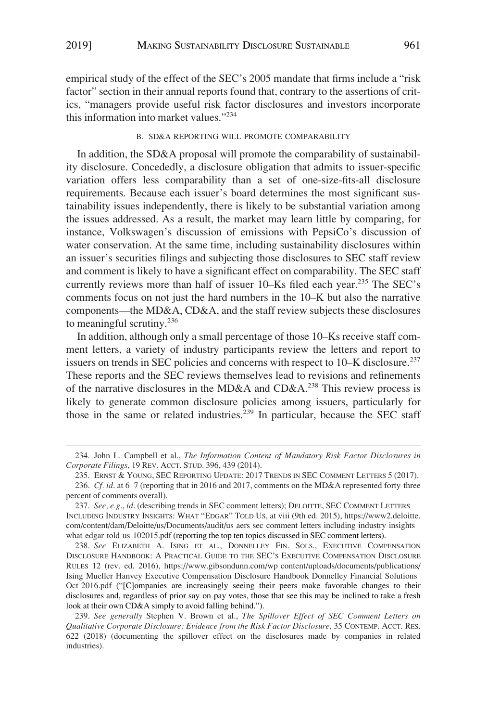empirical study of the effect of the SEC's 2005 mandate that firms include a "risk factor" section in their annual reports found that, contrary to the assertions of critics, "managers provide useful risk factor disclosures and investors incorporate this information into market values."<sup>234</sup>

#### B. SD&A REPORTING WILL PROMOTE COMPARABILITY

In addition, the SD&A proposal will promote the comparability of sustainability disclosure. Concededly, a disclosure obligation that admits to issuer-specific variation offers less comparability than a set of one-size-fits-all disclosure requirements. Because each issuer's board determines the most significant sustainability issues independently, there is likely to be substantial variation among the issues addressed. As a result, the market may learn little by comparing, for instance, Volkswagen's discussion of emissions with PepsiCo's discussion of water conservation. At the same time, including sustainability disclosures within an issuer's securities filings and subjecting those disclosures to SEC staff review and comment is likely to have a significant effect on comparability. The SEC staff currently reviews more than half of issuer 10–Ks filed each year.<sup>235</sup> The SEC's comments focus on not just the hard numbers in the 10–K but also the narrative components—the MD&A, CD&A, and the staff review subjects these disclosures to meaningful scrutiny.<sup>236</sup>

In addition, although only a small percentage of those 10–Ks receive staff comment letters, a variety of industry participants review the letters and report to issuers on trends in SEC policies and concerns with respect to 10–K disclosure.<sup>237</sup> These reports and the SEC reviews themselves lead to revisions and refinements of the narrative disclosures in the MD&A and CD&A.<sup>238</sup> This review process is likely to generate common disclosure policies among issuers, particularly for those in the same or related industries.<sup> $239$ </sup> In particular, because the SEC staff

<sup>234.</sup> John L. Campbell et al., *The Information Content of Mandatory Risk Factor Disclosures in Corporate Filings*, 19 REV. ACCT. STUD. 396, 439 (2014).

<sup>235.</sup> ERNST & YOUNG, SEC REPORTING UPDATE: 2017 TRENDS IN SEC COMMENT LETTERS 5 (2017). 236. *Cf. id*. at 6 7 (reporting that in 2016 and 2017, comments on the MD&A represented forty three percent of comments overall).

<sup>237.</sup> See, e.g., *id*. (describing trends in SEC comment letters); DELOITTE, SEC COMMENT LETTERS INCLUDING INDUSTRY INSIGHTS: WHAT "EDGAR" TOLD US, at viii (9th ed. 2015), https://www2.deloitte. com/content/dam/Deloitte/us/Documents/audit/us aers sec comment letters including industry insights what edgar told us 102015.pdf (reporting the top ten topics discussed in SEC comment letters).

*See* ELIZABETH A. ISING ET AL., DONNELLEY FIN. SOLS., EXECUTIVE COMPENSATION 238. DISCLOSURE HANDBOOK: A PRACTICAL GUIDE TO THE SEC'S EXECUTIVE COMPENSATION DISCLOSURE RULES 12 (rev. ed. 2016), https://www.gibsondunn.com/wp content/uploads/documents/publications/ Ising Mueller Hanvey Executive Compensation Disclosure Handbook Donnelley Financial Solutions Oct 2016.pdf ("[C]ompanies are increasingly seeing their peers make favorable changes to their disclosures and, regardless of prior say on pay votes, those that see this may be inclined to take a fresh look at their own CD&A simply to avoid falling behind.").

<sup>239.</sup> *See generally* Stephen V. Brown et al., *The Spillover Effect of SEC Comment Letters on Qualitative Corporate Disclosure: Evidence from the Risk Factor Disclosure*, 35 CONTEMP. ACCT. RES. 622 (2018) (documenting the spillover effect on the disclosures made by companies in related industries).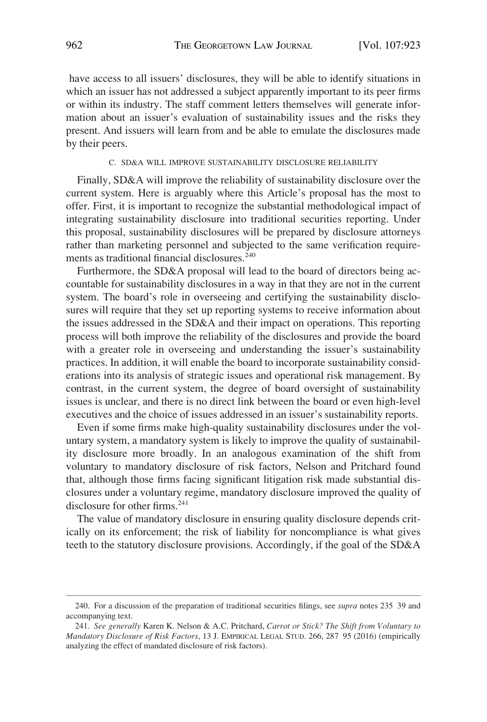have access to all issuers' disclosures, they will be able to identify situations in which an issuer has not addressed a subject apparently important to its peer firms or within its industry. The staff comment letters themselves will generate information about an issuer's evaluation of sustainability issues and the risks they present. And issuers will learn from and be able to emulate the disclosures made by their peers.

#### C. SD&A WILL IMPROVE SUSTAINABILITY DISCLOSURE RELIABILITY

Finally, SD&A will improve the reliability of sustainability disclosure over the current system. Here is arguably where this Article's proposal has the most to offer. First, it is important to recognize the substantial methodological impact of integrating sustainability disclosure into traditional securities reporting. Under this proposal, sustainability disclosures will be prepared by disclosure attorneys rather than marketing personnel and subjected to the same verification requirements as traditional financial disclosures.<sup>240</sup>

Furthermore, the SD&A proposal will lead to the board of directors being accountable for sustainability disclosures in a way in that they are not in the current system. The board's role in overseeing and certifying the sustainability disclosures will require that they set up reporting systems to receive information about the issues addressed in the SD&A and their impact on operations. This reporting process will both improve the reliability of the disclosures and provide the board with a greater role in overseeing and understanding the issuer's sustainability practices. In addition, it will enable the board to incorporate sustainability considerations into its analysis of strategic issues and operational risk management. By contrast, in the current system, the degree of board oversight of sustainability issues is unclear, and there is no direct link between the board or even high-level executives and the choice of issues addressed in an issuer's sustainability reports.

Even if some firms make high-quality sustainability disclosures under the voluntary system, a mandatory system is likely to improve the quality of sustainability disclosure more broadly. In an analogous examination of the shift from voluntary to mandatory disclosure of risk factors, Nelson and Pritchard found that, although those firms facing significant litigation risk made substantial disclosures under a voluntary regime, mandatory disclosure improved the quality of disclosure for other firms.<sup>241</sup>

The value of mandatory disclosure in ensuring quality disclosure depends critically on its enforcement; the risk of liability for noncompliance is what gives teeth to the statutory disclosure provisions. Accordingly, if the goal of the SD&A

<sup>240.</sup> For a discussion of the preparation of traditional securities filings, see *supra* notes 235 39 and accompanying text.

<sup>241.</sup> *See generally* Karen K. Nelson & A.C. Pritchard, *Carrot or Stick? The Shift from Voluntary to Mandatory Disclosure of Risk Factors*, 13 J. EMPIRICAL LEGAL STUD. 266, 287 95 (2016) (empirically analyzing the effect of mandated disclosure of risk factors).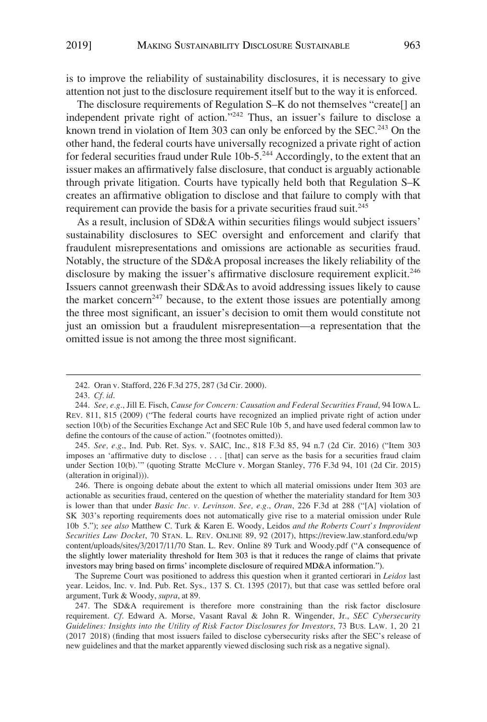is to improve the reliability of sustainability disclosures, it is necessary to give attention not just to the disclosure requirement itself but to the way it is enforced.

The disclosure requirements of Regulation S–K do not themselves "create[] an independent private right of action."242 Thus, an issuer's failure to disclose a known trend in violation of Item 303 can only be enforced by the SEC.<sup>243</sup> On the other hand, the federal courts have universally recognized a private right of action for federal securities fraud under Rule 10b-5.<sup>244</sup> Accordingly, to the extent that an issuer makes an affirmatively false disclosure, that conduct is arguably actionable through private litigation. Courts have typically held both that Regulation S–K creates an affirmative obligation to disclose and that failure to comply with that requirement can provide the basis for a private securities fraud suit.<sup>245</sup>

As a result, inclusion of SD&A within securities filings would subject issuers' sustainability disclosures to SEC oversight and enforcement and clarify that fraudulent misrepresentations and omissions are actionable as securities fraud. Notably, the structure of the SD&A proposal increases the likely reliability of the disclosure by making the issuer's affirmative disclosure requirement explicit.<sup>246</sup> Issuers cannot greenwash their SD&As to avoid addressing issues likely to cause the market concern<sup>247</sup> because, to the extent those issues are potentially among the three most significant, an issuer's decision to omit them would constitute not just an omission but a fraudulent misrepresentation—a representation that the omitted issue is not among the three most significant.

245. *See, e.g*., Ind. Pub. Ret. Sys. v. SAIC, Inc., 818 F.3d 85, 94 n.7 (2d Cir. 2016) ("Item 303 imposes an 'affirmative duty to disclose . . . [that] can serve as the basis for a securities fraud claim under Section 10(b).'" (quoting Stratte McClure v. Morgan Stanley, 776 F.3d 94, 101 (2d Cir. 2015) (alteration in original))).

246. There is ongoing debate about the extent to which all material omissions under Item 303 are actionable as securities fraud, centered on the question of whether the materiality standard for Item 303 is lower than that under *Basic Inc. v. Levinson*. *See, e.g*., *Oran*, 226 F.3d at 288 ("[A] violation of SK 303's reporting requirements does not automatically give rise to a material omission under Rule 10b 5."); *see also* Matthew C. Turk & Karen E. Woody, Leidos *and the Roberts Court's Improvident Securities Law Docket*, 70 STAN. L. REV. ONLINE 89, 92 (2017), https://review.law.stanford.edu/wp content/uploads/sites/3/2017/11/70 Stan. L. Rev. Online 89 Turk and Woody.pdf ("A consequence of the slightly lower materiality threshold for Item 303 is that it reduces the range of claims that private investors may bring based on firms' incomplete disclosure of required MD&A information.").

The Supreme Court was positioned to address this question when it granted certiorari in *Leidos* last year. Leidos, Inc. v. Ind. Pub. Ret. Sys., 137 S. Ct. 1395 (2017), but that case was settled before oral argument, Turk & Woody, *supra*, at 89.

247. The SD&A requirement is therefore more constraining than the risk factor disclosure requirement. *Cf*. Edward A. Morse, Vasant Raval & John R. Wingender, Jr., *SEC Cybersecurity Guidelines: Insights into the Utility of Risk Factor Disclosures for Investors*, 73 BUS. LAW. 1, 20 21 (2017 2018) (finding that most issuers failed to disclose cybersecurity risks after the SEC's release of new guidelines and that the market apparently viewed disclosing such risk as a negative signal).

<sup>242.</sup> Oran v. Stafford, 226 F.3d 275, 287 (3d Cir. 2000).

<sup>243.</sup> *Cf. id*.

<sup>244.</sup> *See, e.g*., Jill E. Fisch, *Cause for Concern: Causation and Federal Securities Fraud*, 94 IOWA L. REV. 811, 815 (2009) ("The federal courts have recognized an implied private right of action under section 10(b) of the Securities Exchange Act and SEC Rule 10b 5, and have used federal common law to define the contours of the cause of action." (footnotes omitted)).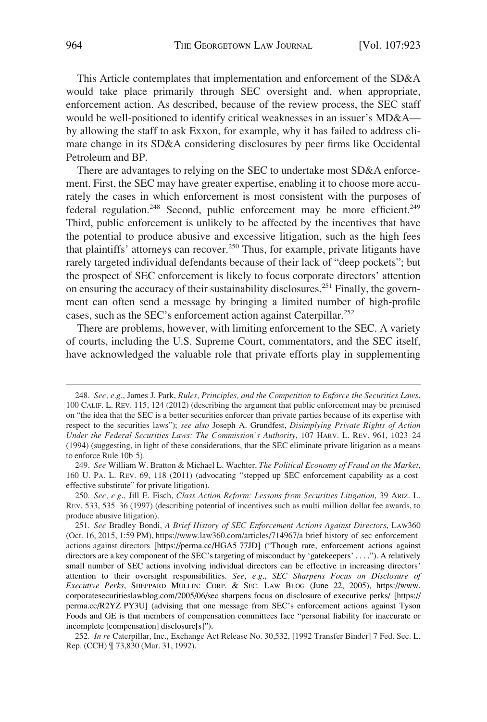This Article contemplates that implementation and enforcement of the SD&A would take place primarily through SEC oversight and, when appropriate, enforcement action. As described, because of the review process, the SEC staff would be well-positioned to identify critical weaknesses in an issuer's MD&A by allowing the staff to ask Exxon, for example, why it has failed to address climate change in its SD&A considering disclosures by peer firms like Occidental Petroleum and BP.

There are advantages to relying on the SEC to undertake most SD&A enforcement. First, the SEC may have greater expertise, enabling it to choose more accurately the cases in which enforcement is most consistent with the purposes of federal regulation.<sup>248</sup> Second, public enforcement may be more efficient.<sup>249</sup> Third, public enforcement is unlikely to be affected by the incentives that have the potential to produce abusive and excessive litigation, such as the high fees that plaintiffs' attorneys can recover.<sup>250</sup> Thus, for example, private litigants have rarely targeted individual defendants because of their lack of "deep pockets"; but the prospect of SEC enforcement is likely to focus corporate directors' attention on ensuring the accuracy of their sustainability disclosures.<sup>251</sup> Finally, the government can often send a message by bringing a limited number of high-profile cases, such as the SEC's enforcement action against Caterpillar.<sup>252</sup>

There are problems, however, with limiting enforcement to the SEC. A variety of courts, including the U.S. Supreme Court, commentators, and the SEC itself, have acknowledged the valuable role that private efforts play in supplementing

<sup>248.</sup> *See, e.g*., James J. Park, *Rules, Principles, and the Competition to Enforce the Securities Laws*, 100 CALIF. L. REV. 115, 124 (2012) (describing the argument that public enforcement may be premised on "the idea that the SEC is a better securities enforcer than private parties because of its expertise with respect to the securities laws"); *see also* Joseph A. Grundfest, *Disimplying Private Rights of Action Under the Federal Securities Laws: The Commission's Authority*, 107 HARV. L. REV. 961, 1023 24 (1994) (suggesting, in light of these considerations, that the SEC eliminate private litigation as a means to enforce Rule 10b 5).

<sup>249.</sup> *See* William W. Bratton & Michael L. Wachter, *The Political Economy of Fraud on the Market*, 160 U. PA. L. REV. 69, 118 (2011) (advocating "stepped up SEC enforcement capability as a cost effective substitute" for private litigation).

<sup>250.</sup> *See, e.g*., Jill E. Fisch, *Class Action Reform: Lessons from Securities Litigation*, 39 ARIZ. L. REV. 533, 535 36 (1997) (describing potential of incentives such as multi million dollar fee awards, to produce abusive litigation).

*ee* Bradley Bondi, *A Brief History of SEC Enforcement Actions Against Directors*, LAW360 251. *S* (Oct. 16, 2015, 1:59 PM), https://www.law360.com/articles/714967/a brief history of sec enforcement actions against directors [https://perma.cc/HGA5 77JD] ("Though rare, enforcement actions against directors are a key component of the SEC's targeting of misconduct by 'gatekeepers' . . . ."). A relatively small number of SEC actions involving individual directors can be effective in increasing directors' attention to their oversight responsibilities. *See, e.g*., *SEC Sharpens Focus on Disclosure of Executive Perks*, SHEPPARD MULLIN: CORP. & SEC. LAW BLOG (June 22, 2005), https://www. corporatesecuritieslawblog.com/2005/06/sec sharpens focus on disclosure of executive perks/ [https:// perma.cc/R2YZ PY3U] (advising that one message from SEC's enforcement actions against Tyson Foods and GE is that members of compensation committees face "personal liability for inaccurate or incomplete [compensation] disclosure[s]").

<sup>252.</sup> *In re* Caterpillar, Inc., Exchange Act Release No. 30,532, [1992 Transfer Binder] 7 Fed. Sec. L. Rep. (CCH) ¶ 73,830 (Mar. 31, 1992).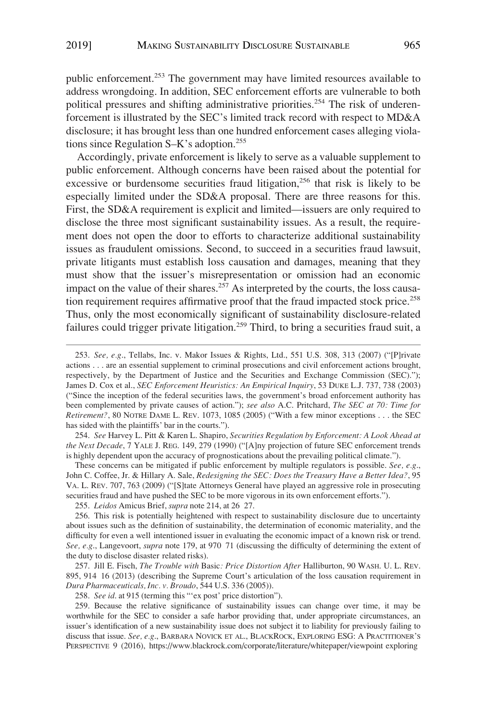public enforcement.253 The government may have limited resources available to address wrongdoing. In addition, SEC enforcement efforts are vulnerable to both political pressures and shifting administrative priorities.<sup>254</sup> The risk of underenforcement is illustrated by the SEC's limited track record with respect to MD&A disclosure; it has brought less than one hundred enforcement cases alleging violations since Regulation S–K's adoption.<sup>255</sup>

Accordingly, private enforcement is likely to serve as a valuable supplement to public enforcement. Although concerns have been raised about the potential for excessive or burdensome securities fraud litigation,<sup>256</sup> that risk is likely to be especially limited under the SD&A proposal. There are three reasons for this. First, the SD&A requirement is explicit and limited—issuers are only required to disclose the three most significant sustainability issues. As a result, the requirement does not open the door to efforts to characterize additional sustainability issues as fraudulent omissions. Second, to succeed in a securities fraud lawsuit, private litigants must establish loss causation and damages, meaning that they must show that the issuer's misrepresentation or omission had an economic impact on the value of their shares.<sup>257</sup> As interpreted by the courts, the loss causation requirement requires affirmative proof that the fraud impacted stock price.<sup>258</sup> Thus, only the most economically significant of sustainability disclosure-related failures could trigger private litigation.<sup>259</sup> Third, to bring a securities fraud suit, a

254. *See* Harvey L. Pitt & Karen L. Shapiro, *Securities Regulation by Enforcement: A Look Ahead at the Next Decade*, 7 YALE J. REG. 149, 279 (1990) ("[A]ny projection of future SEC enforcement trends is highly dependent upon the accuracy of prognostications about the prevailing political climate.").

These concerns can be mitigated if public enforcement by multiple regulators is possible. *See, e.g*., John C. Coffee, Jr. & Hillary A. Sale, *Redesigning the SEC: Does the Treasury Have a Better Idea?*, 95 VA. L. REV. 707, 763 (2009) ("[S]tate Attorneys General have played an aggressive role in prosecuting securities fraud and have pushed the SEC to be more vigorous in its own enforcement efforts.").

255. *Leidos* Amicus Brief, *supra* note 214, at 26 27.

257. Jill E. Fisch, *The Trouble with* Basic*: Price Distortion After* Halliburton, 90 WASH. U. L. REV. 895, 914 16 (2013) (describing the Supreme Court's articulation of the loss causation requirement in *Dura Pharmaceuticals, Inc. v. Broudo*, 544 U.S. 336 (2005)).

258. *See id*. at 915 (terming this "'ex post' price distortion").

259. Because the relative significance of sustainability issues can change over time, it may be worthwhile for the SEC to consider a safe harbor providing that, under appropriate circumstances, an issuer's identification of a new sustainability issue does not subject it to liability for previously failing to discuss that issue. *See, e.g*., BARBARA NOVICK ET AL., BLACKROCK, EXPLORING ESG: A PRACTITIONER'S PERSPECTIVE 9 (2016), https://www.blackrock.com/corporate/literature/whitepaper/viewpoint exploring

<sup>253.</sup> *See, e.g*., Tellabs, Inc. v. Makor Issues & Rights, Ltd., 551 U.S. 308, 313 (2007) ("[P]rivate actions . . . are an essential supplement to criminal prosecutions and civil enforcement actions brought, respectively, by the Department of Justice and the Securities and Exchange Commission (SEC)."); James D. Cox et al., *SEC Enforcement Heuristics: An Empirical Inquiry*, 53 DUKE L.J. 737, 738 (2003) ("Since the inception of the federal securities laws, the government's broad enforcement authority has been complemented by private causes of action."); *see also* A.C. Pritchard, *The SEC at 70: Time for Retirement?*, 80 NOTRE DAME L. REV. 1073, 1085 (2005) ("With a few minor exceptions . . . the SEC has sided with the plaintiffs' bar in the courts.").

<sup>256.</sup> This risk is potentially heightened with respect to sustainability disclosure due to uncertainty about issues such as the definition of sustainability, the determination of economic materiality, and the difficulty for even a well intentioned issuer in evaluating the economic impact of a known risk or trend. *See, e.g*., Langevoort, *supra* note 179, at 970 71 (discussing the difficulty of determining the extent of the duty to disclose disaster related risks).